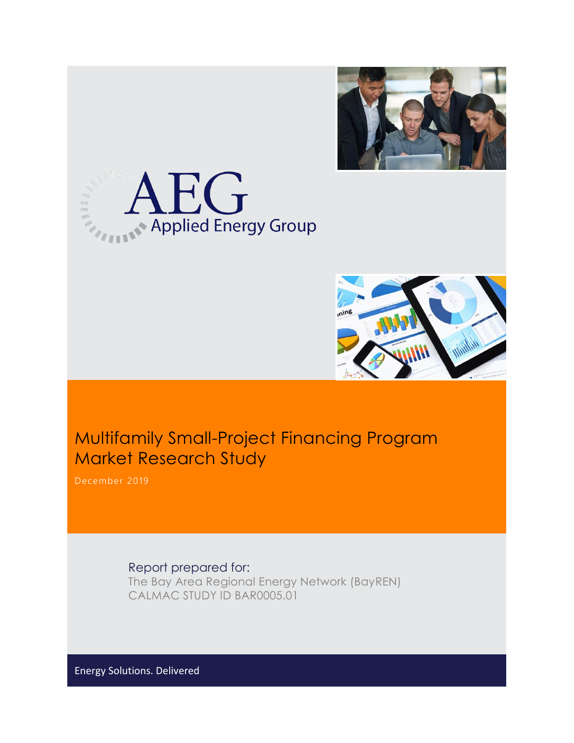





# Multifamily Small-Project Financing Program Market Research Study

Report prepared for: The Bay Area Regional Energy Network (BayREN) CALMAC STUDY ID BAR0005.01

Energy Solutions. Delivered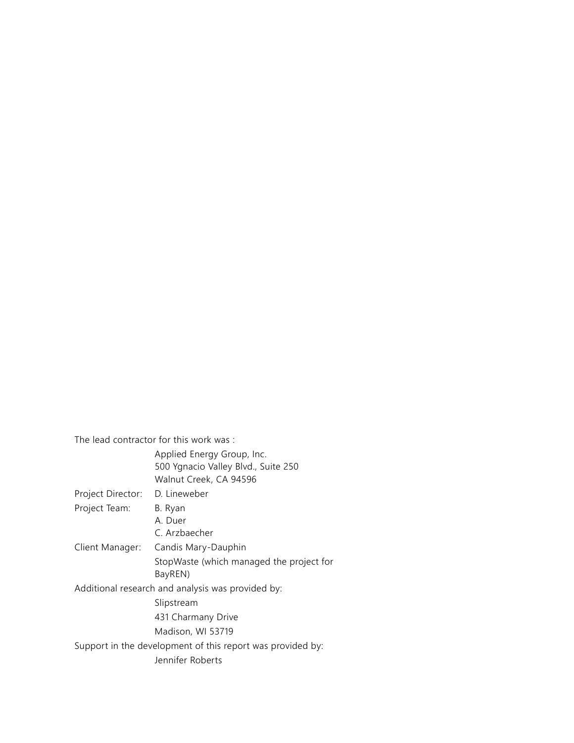The lead contractor for this work was :

|                   | Applied Energy Group, Inc.<br>500 Ygnacio Valley Blvd., Suite 250<br>Walnut Creek, CA 94596 |
|-------------------|---------------------------------------------------------------------------------------------|
| Project Director: | D. Lineweber                                                                                |
| Project Team:     | B. Ryan                                                                                     |
|                   | A. Duer                                                                                     |
|                   | C. Arzbaecher                                                                               |
| Client Manager:   | Candis Mary-Dauphin                                                                         |
|                   | StopWaste (which managed the project for<br>BayREN)                                         |
|                   | Additional research and analysis was provided by:                                           |
|                   | Slipstream                                                                                  |
|                   | 431 Charmany Drive                                                                          |
|                   | Madison, WI 53719                                                                           |
|                   | Support in the development of this report was provided by:                                  |
|                   | Jennifer Roberts                                                                            |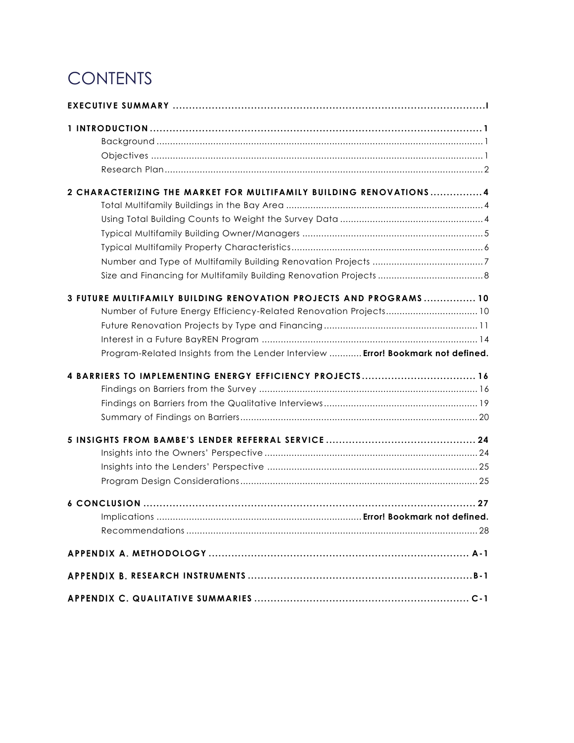# **CONTENTS**

| 2 CHARACTERIZING THE MARKET FOR MULTIFAMILY BUILDING RENOVATIONS 4                                                                                                                                                         |
|----------------------------------------------------------------------------------------------------------------------------------------------------------------------------------------------------------------------------|
| 3 FUTURE MULTIFAMILY BUILDING RENOVATION PROJECTS AND PROGRAMS 10<br>Number of Future Energy Efficiency-Related Renovation Projects 10<br>Program-Related Insights from the Lender Interview  Error! Bookmark not defined. |
| 4 BARRIERS TO IMPLEMENTING ENERGY EFFICIENCY PROJECTS 16                                                                                                                                                                   |
|                                                                                                                                                                                                                            |
| Implications                                                                                                                                                                                                               |
|                                                                                                                                                                                                                            |
|                                                                                                                                                                                                                            |
|                                                                                                                                                                                                                            |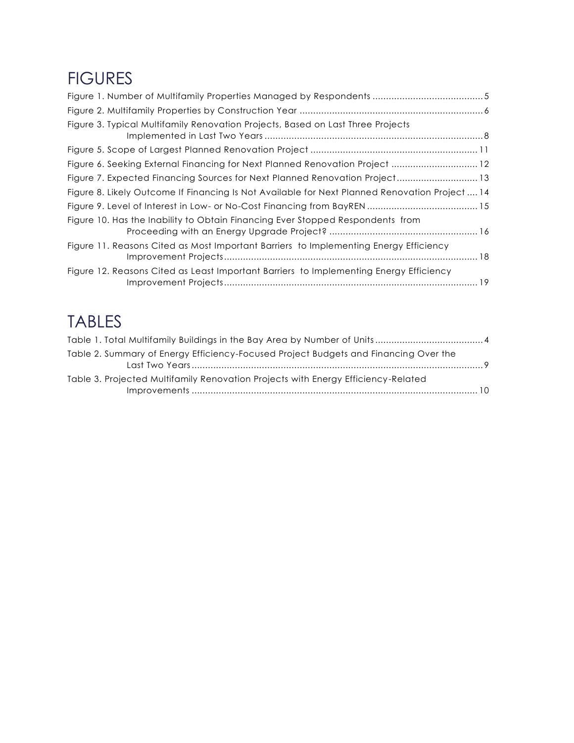# FIGURES

| Figure 3. Typical Multifamily Renovation Projects, Based on Last Three Projects                |  |
|------------------------------------------------------------------------------------------------|--|
|                                                                                                |  |
| Figure 6. Seeking External Financing for Next Planned Renovation Project  12                   |  |
| Figure 7. Expected Financing Sources for Next Planned Renovation Project 13                    |  |
| Figure 8. Likely Outcome If Financing Is Not Available for Next Planned Renovation Project  14 |  |
|                                                                                                |  |
| Figure 10. Has the Inability to Obtain Financing Ever Stopped Respondents from                 |  |
| Figure 11. Reasons Cited as Most Important Barriers to Implementing Energy Efficiency          |  |
| Figure 12. Reasons Cited as Least Important Barriers to Implementing Energy Efficiency         |  |
|                                                                                                |  |

# TABLES

| Table 2. Summary of Energy Efficiency-Focused Project Budgets and Financing Over the |  |
|--------------------------------------------------------------------------------------|--|
| Table 3. Projected Multifamily Renovation Projects with Energy Efficiency-Related    |  |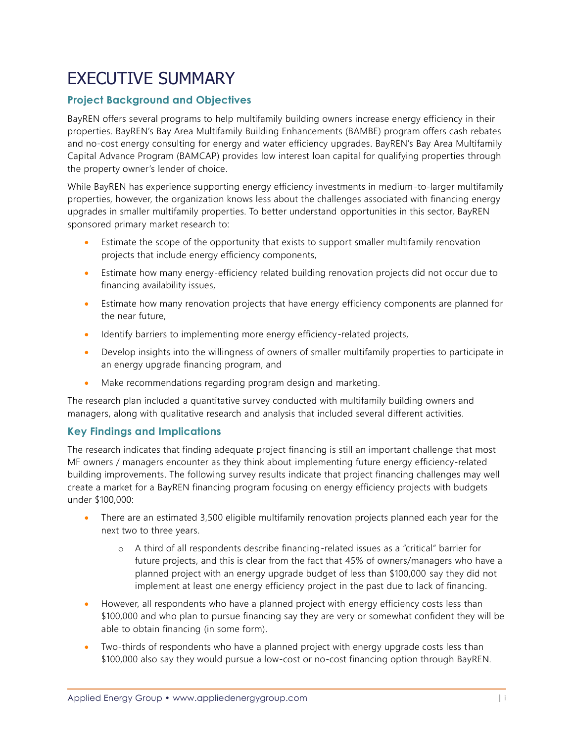# EXECUTIVE SUMMARY

## <span id="page-4-0"></span>**Project Background and Objectives**

BayREN offers several programs to help multifamily building owners increase energy efficiency in their properties. BayREN's Bay Area Multifamily Building Enhancements (BAMBE) program offers cash rebates and no-cost energy consulting for energy and water efficiency upgrades. BayREN's Bay Area Multifamily Capital Advance Program (BAMCAP) provides low interest loan capital for qualifying properties through the property owner's lender of choice.

While BayREN has experience supporting energy efficiency investments in medium-to-larger multifamily properties, however, the organization knows less about the challenges associated with financing energy upgrades in smaller multifamily properties. To better understand opportunities in this sector, BayREN sponsored primary market research to:

- Estimate the scope of the opportunity that exists to support smaller multifamily renovation projects that include energy efficiency components,
- Estimate how many energy-efficiency related building renovation projects did not occur due to financing availability issues,
- Estimate how many renovation projects that have energy efficiency components are planned for the near future,
- Identify barriers to implementing more energy efficiency-related projects,
- Develop insights into the willingness of owners of smaller multifamily properties to participate in an energy upgrade financing program, and
- Make recommendations regarding program design and marketing.

The research plan included a quantitative survey conducted with multifamily building owners and managers, along with qualitative research and analysis that included several different activities.

## **Key Findings and Implications**

The research indicates that finding adequate project financing is still an important challenge that most MF owners / managers encounter as they think about implementing future energy efficiency-related building improvements. The following survey results indicate that project financing challenges may well create a market for a BayREN financing program focusing on energy efficiency projects with budgets under \$100,000:

- There are an estimated 3,500 eligible multifamily renovation projects planned each year for the next two to three years.
	- o A third of all respondents describe financing-related issues as a "critical" barrier for future projects, and this is clear from the fact that 45% of owners/managers who have a planned project with an energy upgrade budget of less than \$100,000 say they did not implement at least one energy efficiency project in the past due to lack of financing.
- However, all respondents who have a planned project with energy efficiency costs less than \$100,000 and who plan to pursue financing say they are very or somewhat confident they will be able to obtain financing (in some form).
- Two-thirds of respondents who have a planned project with energy upgrade costs less than \$100,000 also say they would pursue a low-cost or no-cost financing option through BayREN.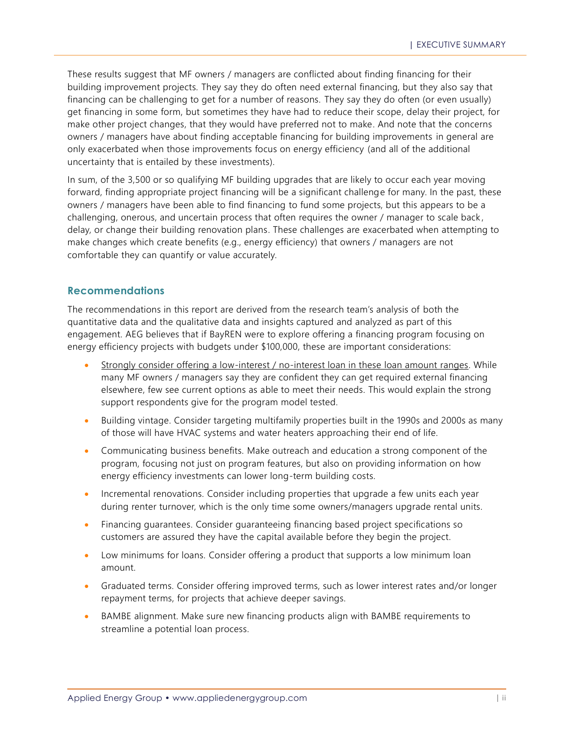These results suggest that MF owners / managers are conflicted about finding financing for their building improvement projects. They say they do often need external financing, but they also say that financing can be challenging to get for a number of reasons. They say they do often (or even usually) get financing in some form, but sometimes they have had to reduce their scope, delay their project, for make other project changes, that they would have preferred not to make. And note that the concerns owners / managers have about finding acceptable financing for building improvements in general are only exacerbated when those improvements focus on energy efficiency (and all of the additional uncertainty that is entailed by these investments).

In sum, of the 3,500 or so qualifying MF building upgrades that are likely to occur each year moving forward, finding appropriate project financing will be a significant challenge for many. In the past, these owners / managers have been able to find financing to fund some projects, but this appears to be a challenging, onerous, and uncertain process that often requires the owner / manager to scale back , delay, or change their building renovation plans. These challenges are exacerbated when attempting to make changes which create benefits (e.g., energy efficiency) that owners / managers are not comfortable they can quantify or value accurately.

#### **Recommendations**

The recommendations in this report are derived from the research team's analysis of both the quantitative data and the qualitative data and insights captured and analyzed as part of this engagement. AEG believes that if BayREN were to explore offering a financing program focusing on energy efficiency projects with budgets under \$100,000, these are important considerations:

- Strongly consider offering a low-interest / no-interest loan in these loan amount ranges. While many MF owners / managers say they are confident they can get required external financing elsewhere, few see current options as able to meet their needs. This would explain the strong support respondents give for the program model tested.
- Building vintage. Consider targeting multifamily properties built in the 1990s and 2000s as many of those will have HVAC systems and water heaters approaching their end of life.
- Communicating business benefits. Make outreach and education a strong component of the program, focusing not just on program features, but also on providing information on how energy efficiency investments can lower long-term building costs.
- Incremental renovations. Consider including properties that upgrade a few units each year during renter turnover, which is the only time some owners/managers upgrade rental units.
- Financing guarantees. Consider guaranteeing financing based project specifications so customers are assured they have the capital available before they begin the project.
- Low minimums for loans. Consider offering a product that supports a low minimum loan amount.
- Graduated terms. Consider offering improved terms, such as lower interest rates and/or longer repayment terms, for projects that achieve deeper savings.
- BAMBE alignment. Make sure new financing products align with BAMBE requirements to streamline a potential loan process.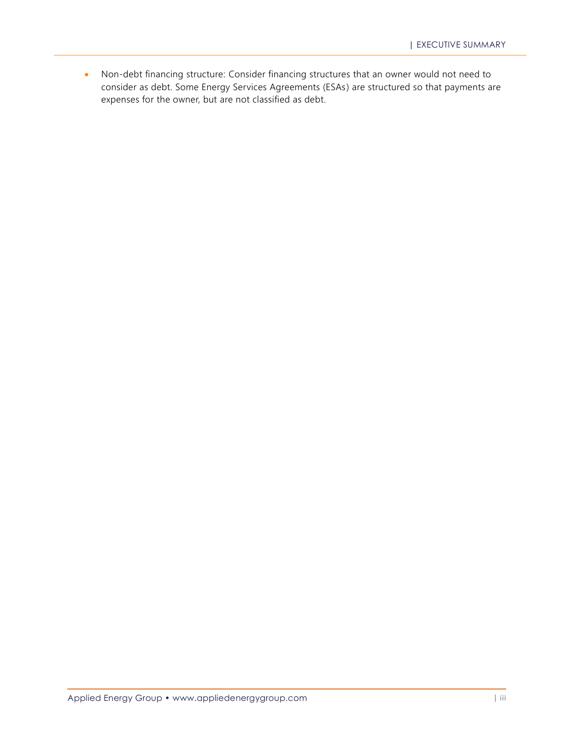• Non-debt financing structure: Consider financing structures that an owner would not need to consider as debt. Some Energy Services Agreements (ESAs) are structured so that payments are expenses for the owner, but are not classified as debt.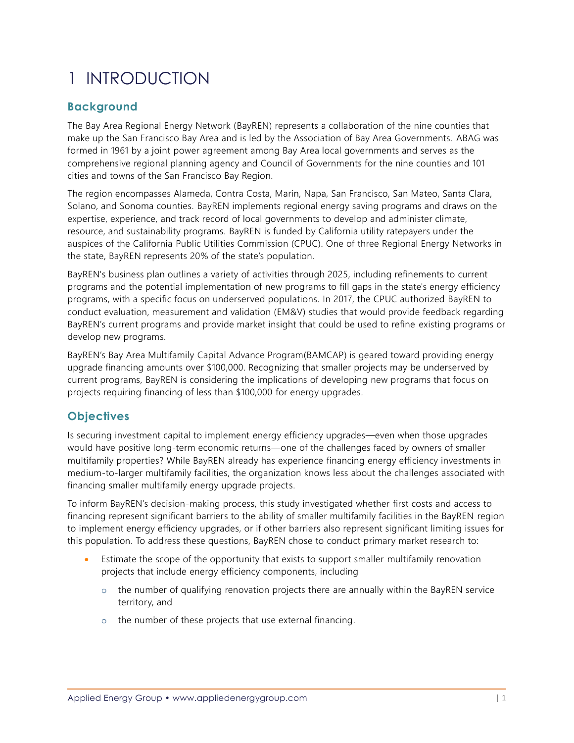# <span id="page-7-0"></span>1 INTRODUCTION

## <span id="page-7-1"></span>**Background**

The Bay Area Regional Energy Network (BayREN) represents a collaboration of the nine counties that make up the San Francisco Bay Area and is led by the Association of Bay Area Governments. ABAG was formed in 1961 by a joint power agreement among Bay Area local governments and serves as the comprehensive regional planning agency and Council of Governments for the nine counties and 101 cities and towns of the San Francisco Bay Region.

The region encompasses Alameda, Contra Costa, Marin, Napa, San Francisco, San Mateo, Santa Clara, Solano, and Sonoma counties. BayREN implements regional energy saving programs and draws on the expertise, experience, and track record of local governments to develop and administer climate, resource, and sustainability programs. BayREN is funded by California utility ratepayers under the auspices of the California Public Utilities Commission (CPUC). One of three Regional Energy Networks in the state, BayREN represents 20% of the state's population.

BayREN's business plan outlines a variety of activities through 2025, including refinements to current programs and the potential implementation of new programs to fill gaps in the state's energy efficiency programs, with a specific focus on underserved populations. In 2017, the CPUC authorized BayREN to conduct evaluation, measurement and validation (EM&V) studies that would provide feedback regarding BayREN's current programs and provide market insight that could be used to refine existing programs or develop new programs.

BayREN's Bay Area Multifamily Capital Advance Program(BAMCAP) is geared toward providing energy upgrade financing amounts over \$100,000. Recognizing that smaller projects may be underserved by current programs, BayREN is considering the implications of developing new programs that focus on projects requiring financing of less than \$100,000 for energy upgrades.

## <span id="page-7-2"></span>**Objectives**

Is securing investment capital to implement energy efficiency upgrades—even when those upgrades would have positive long-term economic returns—one of the challenges faced by owners of smaller multifamily properties? While BayREN already has experience financing energy efficiency investments in medium-to-larger multifamily facilities, the organization knows less about the challenges associated with financing smaller multifamily energy upgrade projects.

To inform BayREN's decision-making process, this study investigated whether first costs and access to financing represent significant barriers to the ability of smaller multifamily facilities in the BayREN region to implement energy efficiency upgrades, or if other barriers also represent significant limiting issues for this population. To address these questions, BayREN chose to conduct primary market research to:

- Estimate the scope of the opportunity that exists to support smaller multifamily renovation projects that include energy efficiency components, including
	- $\circ$  the number of qualifying renovation projects there are annually within the BayREN service territory, and
	- o the number of these projects that use external financing.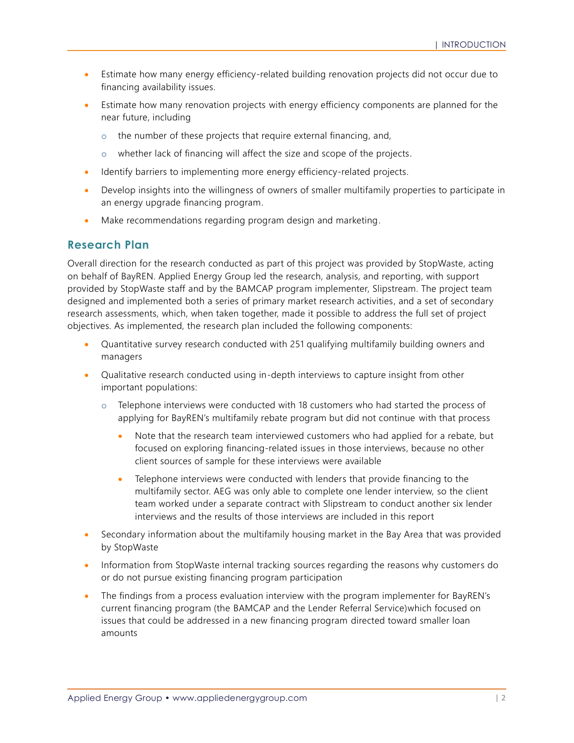- Estimate how many energy efficiency-related building renovation projects did not occur due to financing availability issues.
- Estimate how many renovation projects with energy efficiency components are planned for the near future, including
	- o the number of these projects that require external financing, and,
	- o whether lack of financing will affect the size and scope of the projects.
- Identify barriers to implementing more energy efficiency-related projects.
- Develop insights into the willingness of owners of smaller multifamily properties to participate in an energy upgrade financing program.
- Make recommendations regarding program design and marketing.

### <span id="page-8-0"></span>**Research Plan**

Overall direction for the research conducted as part of this project was provided by StopWaste, acting on behalf of BayREN. Applied Energy Group led the research, analysis, and reporting, with support provided by StopWaste staff and by the BAMCAP program implementer, Slipstream. The project team designed and implemented both a series of primary market research activities, and a set of secondary research assessments, which, when taken together, made it possible to address the full set of project objectives. As implemented, the research plan included the following components:

- Quantitative survey research conducted with 251 qualifying multifamily building owners and managers
- Qualitative research conducted using in-depth interviews to capture insight from other important populations:
	- $\circ$  Telephone interviews were conducted with 18 customers who had started the process of applying for BayREN's multifamily rebate program but did not continue with that process
		- Note that the research team interviewed customers who had applied for a rebate, but focused on exploring financing-related issues in those interviews, because no other client sources of sample for these interviews were available
		- Telephone interviews were conducted with lenders that provide financing to the multifamily sector. AEG was only able to complete one lender interview, so the client team worked under a separate contract with Slipstream to conduct another six lender interviews and the results of those interviews are included in this report
- Secondary information about the multifamily housing market in the Bay Area that was provided by StopWaste
- Information from StopWaste internal tracking sources regarding the reasons why customers do or do not pursue existing financing program participation
- The findings from a process evaluation interview with the program implementer for BayREN's current financing program (the BAMCAP and the Lender Referral Service)which focused on issues that could be addressed in a new financing program directed toward smaller loan amounts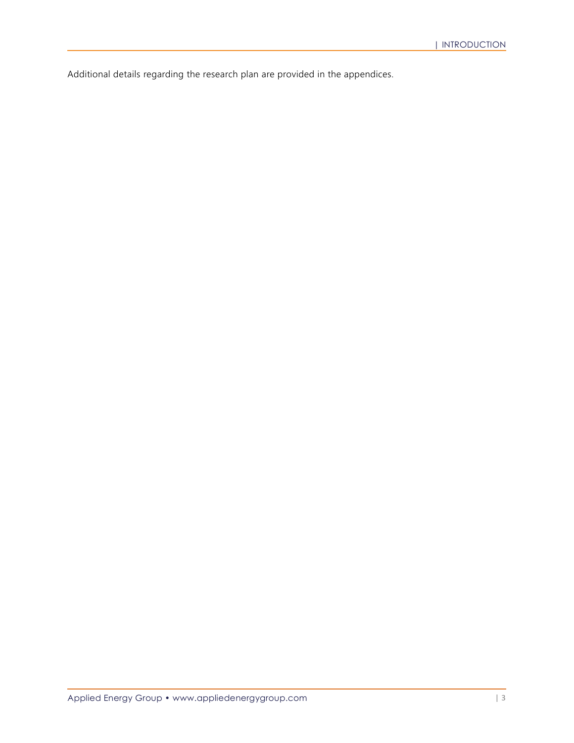Additional details regarding the research plan are provided in the appendices.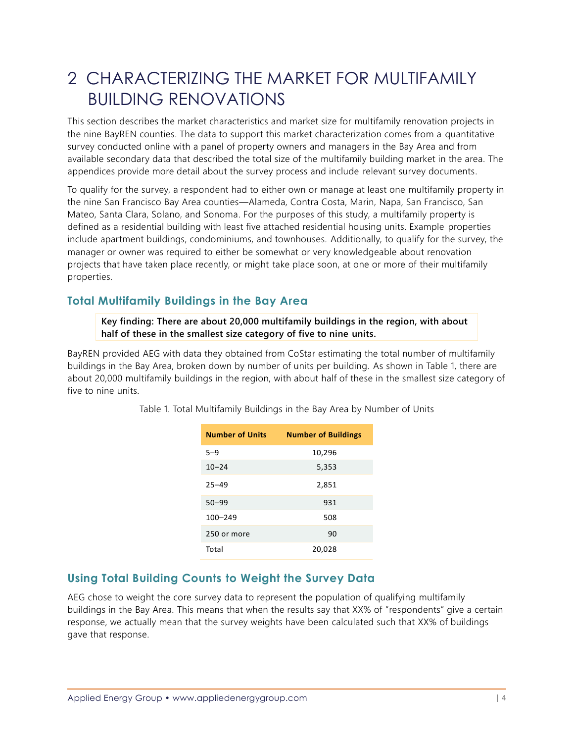# <span id="page-10-0"></span>2 CHARACTERIZING THE MARKET FOR MULTIFAMILY BUILDING RENOVATIONS

This section describes the market characteristics and market size for multifamily renovation projects in the nine BayREN counties. The data to support this market characterization comes from a quantitative survey conducted online with a panel of property owners and managers in the Bay Area and from available secondary data that described the total size of the multifamily building market in the area. The appendices provide more detail about the survey process and include relevant survey documents.

To qualify for the survey, a respondent had to either own or manage at least one multifamily property in the nine San Francisco Bay Area counties—Alameda, Contra Costa, Marin, Napa, San Francisco, San Mateo, Santa Clara, Solano, and Sonoma. For the purposes of this study, a multifamily property is defined as a residential building with least five attached residential housing units. Example properties include apartment buildings, condominiums, and townhouses. Additionally, to qualify for the survey, the manager or owner was required to either be somewhat or very knowledgeable about renovation projects that have taken place recently, or might take place soon, at one or more of their multifamily properties.

## <span id="page-10-1"></span>**Total Multifamily Buildings in the Bay Area**

**Key finding: There are about 20,000 multifamily buildings in the region, with about half of these in the smallest size category of five to nine units.**

<span id="page-10-3"></span>BayREN provided AEG with data they obtained from CoStar estimating the total number of multifamily buildings in the Bay Area, broken down by number of units per building. As shown in [Table 1,](#page-10-3) there are about 20,000 multifamily buildings in the region, with about half of these in the smallest size category of five to nine units.

| <b>Number of Units</b> | <b>Number of Buildings</b> |
|------------------------|----------------------------|
| $5 - 9$                | 10,296                     |
| $10 - 24$              | 5,353                      |
| $25 - 49$              | 2,851                      |
| $50 - 99$              | 931                        |
| $100 - 249$            | 508                        |
| 250 or more            | 90                         |
| Total                  | 20,028                     |

Table 1. Total Multifamily Buildings in the Bay Area by Number of Units

## <span id="page-10-2"></span>**Using Total Building Counts to Weight the Survey Data**

AEG chose to weight the core survey data to represent the population of qualifying multifamily buildings in the Bay Area. This means that when the results say that XX% of "respondents" give a certain response, we actually mean that the survey weights have been calculated such that XX% of buildings gave that response.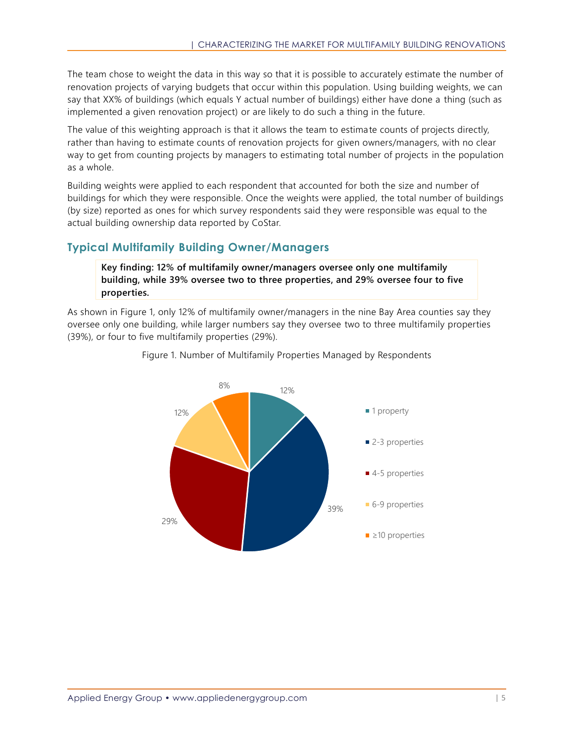The team chose to weight the data in this way so that it is possible to accurately estimate the number of renovation projects of varying budgets that occur within this population. Using building weights, we can say that XX% of buildings (which equals Y actual number of buildings) either have done a thing (such as implemented a given renovation project) or are likely to do such a thing in the future.

The value of this weighting approach is that it allows the team to estimate counts of projects directly, rather than having to estimate counts of renovation projects for given owners/managers, with no clear way to get from counting projects by managers to estimating total number of projects in the population as a whole.

Building weights were applied to each respondent that accounted for both the size and number of buildings for which they were responsible. Once the weights were applied, the total number of buildings (by size) reported as ones for which survey respondents said they were responsible was equal to the actual building ownership data reported by CoStar.

## <span id="page-11-0"></span>**Typical Multifamily Building Owner/Managers**

**Key finding: 12% of multifamily owner/managers oversee only one multifamily building, while 39% oversee two to three properties, and 29% oversee four to five properties.** 

<span id="page-11-1"></span>As shown in [Figure 1,](#page-11-1) only 12% of multifamily owner/managers in the nine Bay Area counties say they oversee only one building, while larger numbers say they oversee two to three multifamily properties (39%), or four to five multifamily properties (29%).



Figure 1. Number of Multifamily Properties Managed by Respondents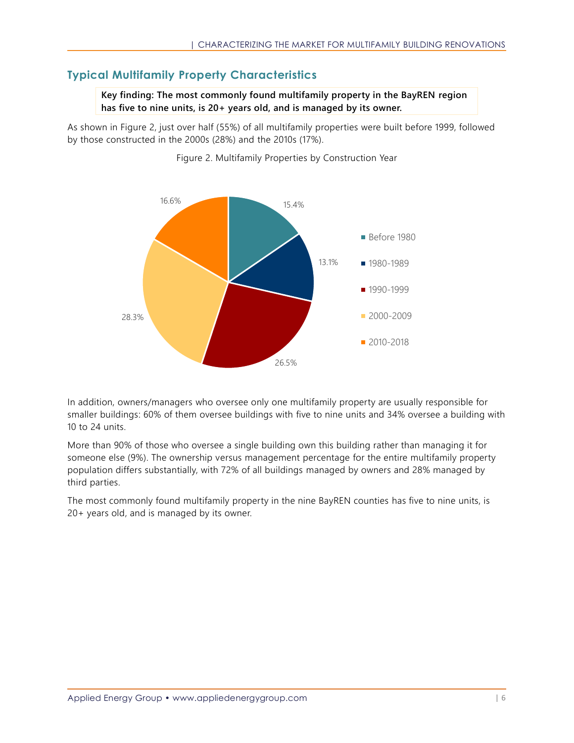# <span id="page-12-0"></span>**Typical Multifamily Property Characteristics**

**Key finding: The most commonly found multifamily property in the BayREN region has five to nine units, is 20+ years old, and is managed by its owner.**

<span id="page-12-1"></span>As shown in [Figure 2,](#page-12-1) just over half (55%) of all multifamily properties were built before 1999, followed by those constructed in the 2000s (28%) and the 2010s (17%).



Figure 2. Multifamily Properties by Construction Year

In addition, owners/managers who oversee only one multifamily property are usually responsible for smaller buildings: 60% of them oversee buildings with five to nine units and 34% oversee a building with 10 to 24 units.

More than 90% of those who oversee a single building own this building rather than managing it for someone else (9%). The ownership versus management percentage for the entire multifamily property population differs substantially, with 72% of all buildings managed by owners and 28% managed by third parties.

The most commonly found multifamily property in the nine BayREN counties has five to nine units, is 20+ years old, and is managed by its owner.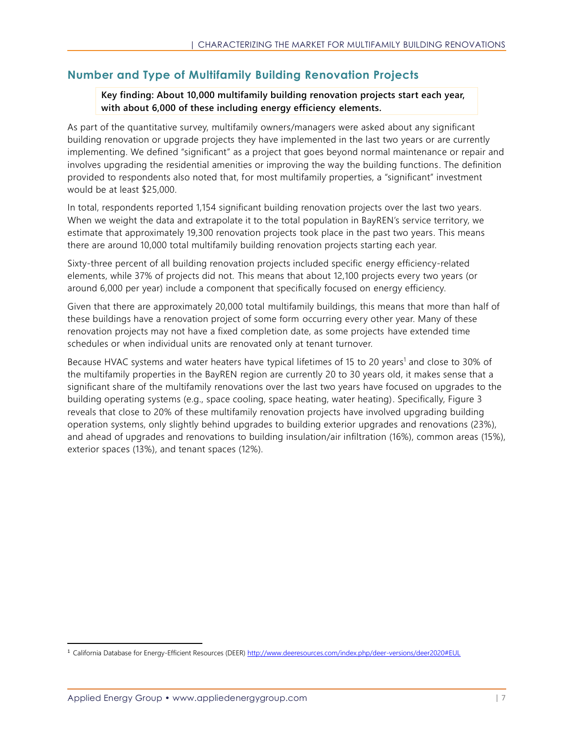## <span id="page-13-0"></span>**Number and Type of Multifamily Building Renovation Projects**

### **Key finding: About 10,000 multifamily building renovation projects start each year, with about 6,000 of these including energy efficiency elements.**

As part of the quantitative survey, multifamily owners/managers were asked about any significant building renovation or upgrade projects they have implemented in the last two years or are currently implementing. We defined "significant" as a project that goes beyond normal maintenance or repair and involves upgrading the residential amenities or improving the way the building functions. The definition provided to respondents also noted that, for most multifamily properties, a "significant" investment would be at least \$25,000.

In total, respondents reported 1,154 significant building renovation projects over the last two years. When we weight the data and extrapolate it to the total population in BayREN's service territory, we estimate that approximately 19,300 renovation projects took place in the past two years. This means there are around 10,000 total multifamily building renovation projects starting each year.

Sixty-three percent of all building renovation projects included specific energy efficiency-related elements, while 37% of projects did not. This means that about 12,100 projects every two years (or around 6,000 per year) include a component that specifically focused on energy efficiency.

Given that there are approximately 20,000 total multifamily buildings, this means that more than half of these buildings have a renovation project of some form occurring every other year. Many of these renovation projects may not have a fixed completion date, as some projects have extended time schedules or when individual units are renovated only at tenant turnover.

Because HVAC systems and water heaters have typical lifetimes of 15 to 20 years<sup>1</sup> and close to 30% of the multifamily properties in the BayREN region are currently 20 to 30 years old, it makes sense that a significant share of the multifamily renovations over the last two years have focused on upgrades to the building operating systems (e.g., space cooling, space heating, water heating). Specifically, [Figure 3](#page-14-1) reveals that close to 20% of these multifamily renovation projects have involved upgrading building operation systems, only slightly behind upgrades to building exterior upgrades and renovations (23%), and ahead of upgrades and renovations to building insulation/air infiltration (16%), common areas (15%), exterior spaces (13%), and tenant spaces (12%).

<sup>&</sup>lt;sup>1</sup> California Database for Energy-Efficient Resources (DEER) [http://www.deeresources.com/index.php/deer-versions/deer2020#EUL](https://nam04.safelinks.protection.outlook.com/?url=http%3A%2F%2Fwww.deeresources.com%2Findex.php%2Fdeer-versions%2Fdeer2020%23EUL&data=02%7C01%7Cbryan%40appliedenergygroup.com%7C455681c92c9f4dea80fe08d74c410a34%7Cd11dfc6a833a471284dbfc468665e0e1%7C0%7C0%7C637061714558006493&sdata=voc5QNwqmCyKT8okl21UXPHuGjykrUO%2BMyhxj5%2FMmT0%3D&reserved=0)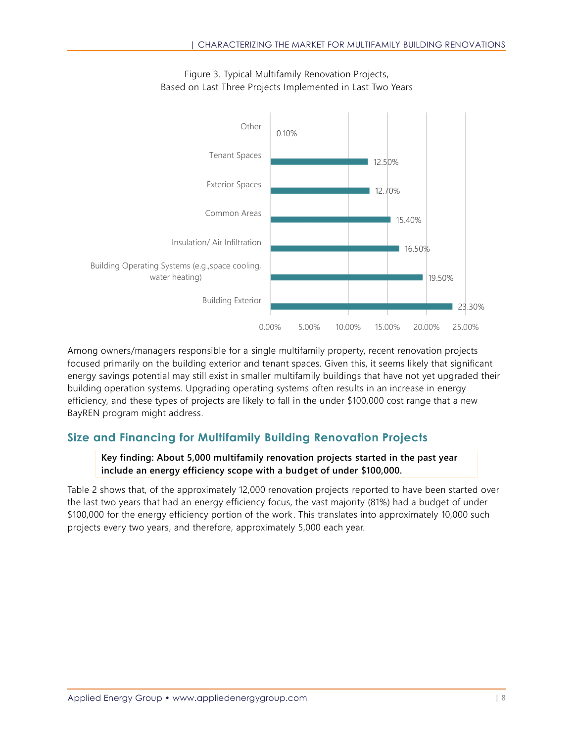<span id="page-14-1"></span>

Figure 3. Typical Multifamily Renovation Projects, Based on Last Three Projects Implemented in Last Two Years

Among owners/managers responsible for a single multifamily property, recent renovation projects focused primarily on the building exterior and tenant spaces. Given this, it seems likely that significant energy savings potential may still exist in smaller multifamily buildings that have not yet upgraded their building operation systems. Upgrading operating systems often results in an increase in energy efficiency, and these types of projects are likely to fall in the under \$100,000 cost range that a new BayREN program might address.

# <span id="page-14-0"></span>**Size and Financing for Multifamily Building Renovation Projects**

**Key finding: About 5,000 multifamily renovation projects started in the past year include an energy efficiency scope with a budget of under \$100,000.**

[Table 2](#page-15-0) shows that, of the approximately 12,000 renovation projects reported to have been started over the last two years that had an energy efficiency focus, the vast majority (81%) had a budget of under \$100,000 for the energy efficiency portion of the work. This translates into approximately 10,000 such projects every two years, and therefore, approximately 5,000 each year.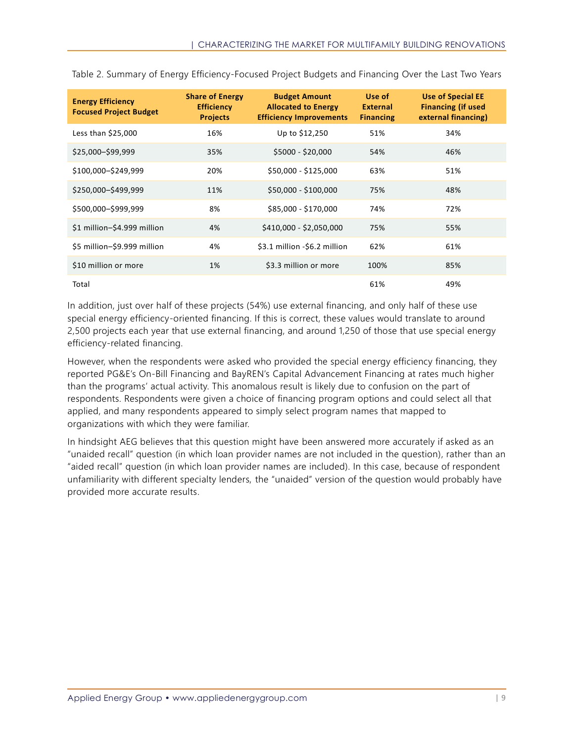| <b>Energy Efficiency</b><br><b>Focused Project Budget</b> | <b>Share of Energy</b><br><b>Efficiency</b><br><b>Projects</b> | <b>Budget Amount</b><br><b>Allocated to Energy</b><br><b>Efficiency Improvements</b> | Use of<br><b>External</b><br><b>Financing</b> | <b>Use of Special EE</b><br><b>Financing (if used</b><br>external financing) |
|-----------------------------------------------------------|----------------------------------------------------------------|--------------------------------------------------------------------------------------|-----------------------------------------------|------------------------------------------------------------------------------|
| Less than \$25,000                                        | 16%                                                            | Up to \$12,250                                                                       | 51%                                           | 34%                                                                          |
| \$25,000-\$99,999                                         | 35%                                                            | $$5000 - $20,000$                                                                    | 54%                                           | 46%                                                                          |
| \$100,000-\$249,999                                       | 20%                                                            | \$50,000 - \$125,000                                                                 | 63%                                           | 51%                                                                          |
| \$250,000-\$499,999                                       | 11%                                                            | \$50,000 - \$100,000                                                                 | 75%                                           | 48%                                                                          |
| \$500,000-\$999,999                                       | 8%                                                             | \$85,000 - \$170,000                                                                 | 74%                                           | 72%                                                                          |
| \$1 million-\$4.999 million                               | 4%                                                             | \$410,000 - \$2,050,000                                                              | 75%                                           | 55%                                                                          |
| \$5 million-\$9.999 million                               | 4%                                                             | \$3.1 million -\$6.2 million                                                         | 62%                                           | 61%                                                                          |
| \$10 million or more                                      | 1%                                                             | \$3.3 million or more                                                                | 100%                                          | 85%                                                                          |
| Total                                                     |                                                                |                                                                                      | 61%                                           | 49%                                                                          |

<span id="page-15-0"></span>Table 2. Summary of Energy Efficiency-Focused Project Budgets and Financing Over the Last Two Years

In addition, just over half of these projects (54%) use external financing, and only half of these use special energy efficiency-oriented financing. If this is correct, these values would translate to around 2,500 projects each year that use external financing, and around 1,250 of those that use special energy efficiency-related financing.

However, when the respondents were asked who provided the special energy efficiency financing, they reported PG&E's On-Bill Financing and BayREN's Capital Advancement Financing at rates much higher than the programs' actual activity. This anomalous result is likely due to confusion on the part of respondents. Respondents were given a choice of financing program options and could select all that applied, and many respondents appeared to simply select program names that mapped to organizations with which they were familiar.

In hindsight AEG believes that this question might have been answered more accurately if asked as an "unaided recall" question (in which loan provider names are not included in the question), rather than an "aided recall" question (in which loan provider names are included). In this case, because of respondent unfamiliarity with different specialty lenders, the "unaided" version of the question would probably have provided more accurate results.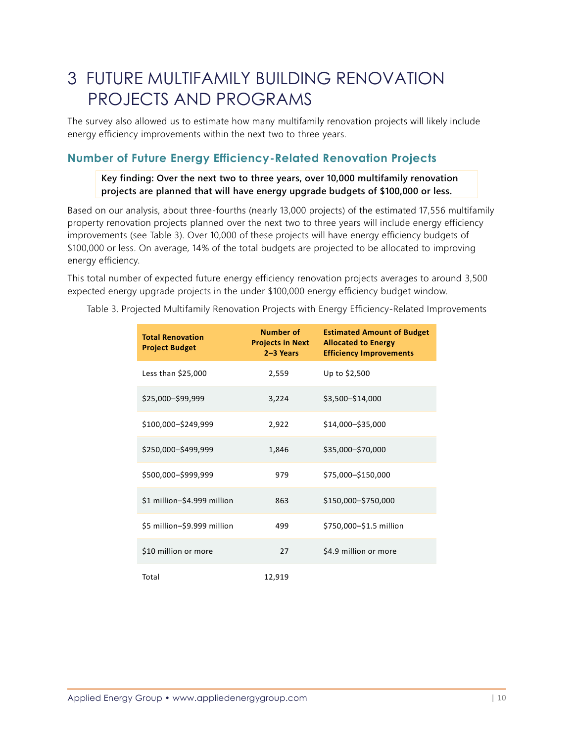# <span id="page-16-0"></span>3 FUTURE MULTIFAMILY BUILDING RENOVATION PROJECTS AND PROGRAMS

The survey also allowed us to estimate how many multifamily renovation projects will likely include energy efficiency improvements within the next two to three years.

## <span id="page-16-1"></span>**Number of Future Energy Efficiency-Related Renovation Projects**

**Key finding: Over the next two to three years, over 10,000 multifamily renovation projects are planned that will have energy upgrade budgets of \$100,000 or less.**

Based on our analysis, about three-fourths (nearly 13,000 projects) of the estimated 17,556 multifamily property renovation projects planned over the next two to three years will include energy efficiency improvements (see [Table 3\)](#page-16-2). Over 10,000 of these projects will have energy efficiency budgets of \$100,000 or less. On average, 14% of the total budgets are projected to be allocated to improving energy efficiency.

This total number of expected future energy efficiency renovation projects averages to around 3,500 expected energy upgrade projects in the under \$100,000 energy efficiency budget window.

| <b>Total Renovation</b><br><b>Project Budget</b> | Number of<br><b>Projects in Next</b><br>$2-3$ Years | <b>Estimated Amount of Budget</b><br><b>Allocated to Energy</b><br><b>Efficiency Improvements</b> |
|--------------------------------------------------|-----------------------------------------------------|---------------------------------------------------------------------------------------------------|
| Less than \$25,000                               | 2,559                                               | Up to \$2,500                                                                                     |
| \$25,000-\$99,999                                | 3,224                                               | \$3,500-\$14,000                                                                                  |
| \$100,000-\$249,999                              | 2,922                                               | \$14,000-\$35,000                                                                                 |
| \$250,000-\$499,999                              | 1,846                                               | \$35,000-\$70,000                                                                                 |
| \$500,000-\$999,999                              | 979                                                 | \$75,000-\$150,000                                                                                |
| \$1 million-\$4.999 million                      | 863                                                 | \$150,000-\$750,000                                                                               |
| \$5 million-\$9.999 million                      | 499                                                 | \$750,000-\$1.5 million                                                                           |
| \$10 million or more                             | 27                                                  | \$4.9 million or more                                                                             |
| Total                                            | 12,919                                              |                                                                                                   |

<span id="page-16-2"></span>Table 3. Projected Multifamily Renovation Projects with Energy Efficiency-Related Improvements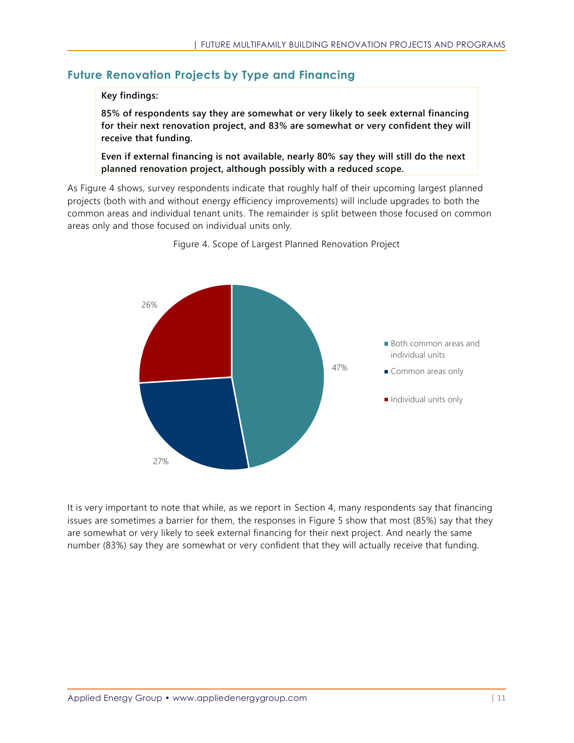# <span id="page-17-0"></span>**Future Renovation Projects by Type and Financing**

### **Key findings:**

**85% of respondents say they are somewhat or very likely to seek external financing for their next renovation project, and 83% are somewhat or very confident they will receive that funding.**

**Even if external financing is not available, nearly 80% say they will still do the next planned renovation project, although possibly with a reduced scope.** 

<span id="page-17-1"></span>As [Figure 4](#page-17-1) shows, survey respondents indicate that roughly half of their upcoming largest planned projects (both with and without energy efficiency improvements) will include upgrades to both the common areas and individual tenant units. The remainder is split between those focused on common areas only and those focused on individual units only.



Figure 4. Scope of Largest Planned Renovation Project

It is very important to note that while, as we report in Section 4, many respondents say that financing issues are sometimes a barrier for them, the responses in [Figure 5](#page-18-0) show that most (85%) say that they are somewhat or very likely to seek external financing for their next project. And nearly the same number (83%) say they are somewhat or very confident that they will actually receive that funding.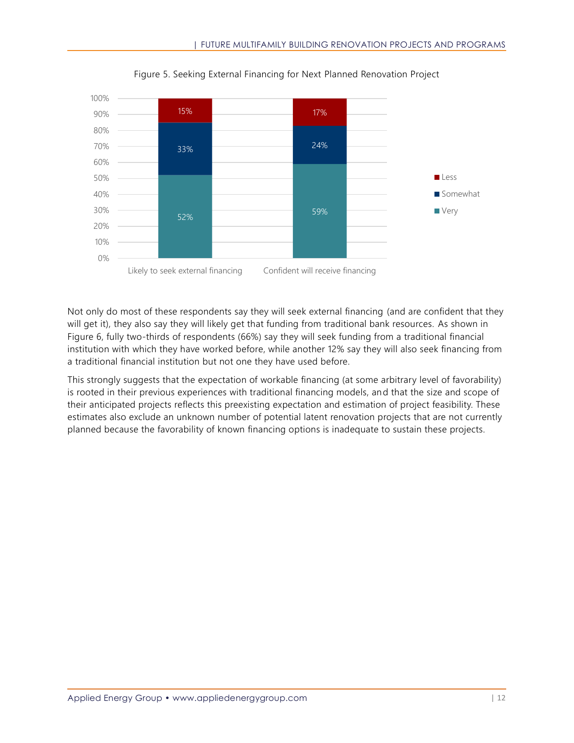<span id="page-18-0"></span>

Figure 5. Seeking External Financing for Next Planned Renovation Project

Not only do most of these respondents say they will seek external financing (and are confident that they will get it), they also say they will likely get that funding from traditional bank resources. As shown in [Figure 6,](#page-19-0) fully two-thirds of respondents (66%) say they will seek funding from a traditional financial institution with which they have worked before, while another 12% say they will also seek financing from a traditional financial institution but not one they have used before.

This strongly suggests that the expectation of workable financing (at some arbitrary level of favorability) is rooted in their previous experiences with traditional financing models, and that the size and scope of their anticipated projects reflects this preexisting expectation and estimation of project feasibility. These estimates also exclude an unknown number of potential latent renovation projects that are not currently planned because the favorability of known financing options is inadequate to sustain these projects.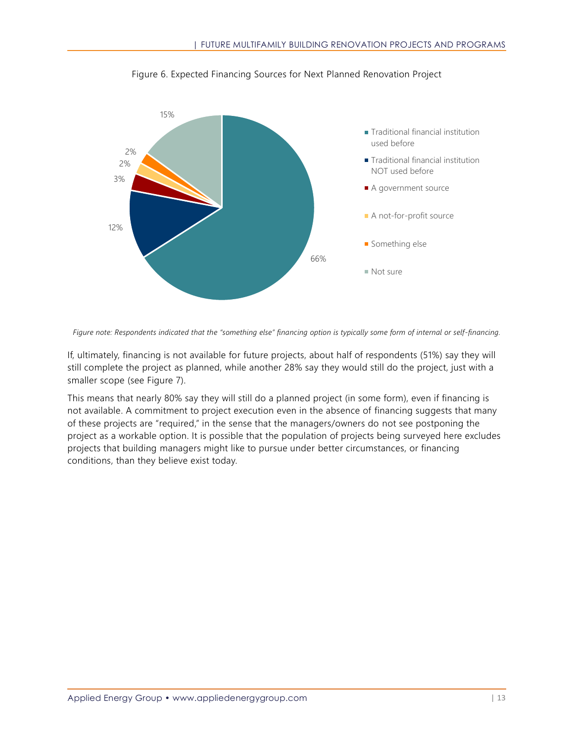<span id="page-19-0"></span>

Figure 6. Expected Financing Sources for Next Planned Renovation Project

*Figure note: Respondents indicated that the "something else" financing option is typically some form of internal or self-financing.*

If, ultimately, financing is not available for future projects, about half of respondents (51%) say they will still complete the project as planned, while another 28% say they would still do the project, just with a smaller scope (see [Figure 7\)](#page-20-1).

This means that nearly 80% say they will still do a planned project (in some form), even if financing is not available. A commitment to project execution even in the absence of financing suggests that many of these projects are "required," in the sense that the managers/owners do not see postponing the project as a workable option. It is possible that the population of projects being surveyed here excludes projects that building managers might like to pursue under better circumstances, or financing conditions, than they believe exist today.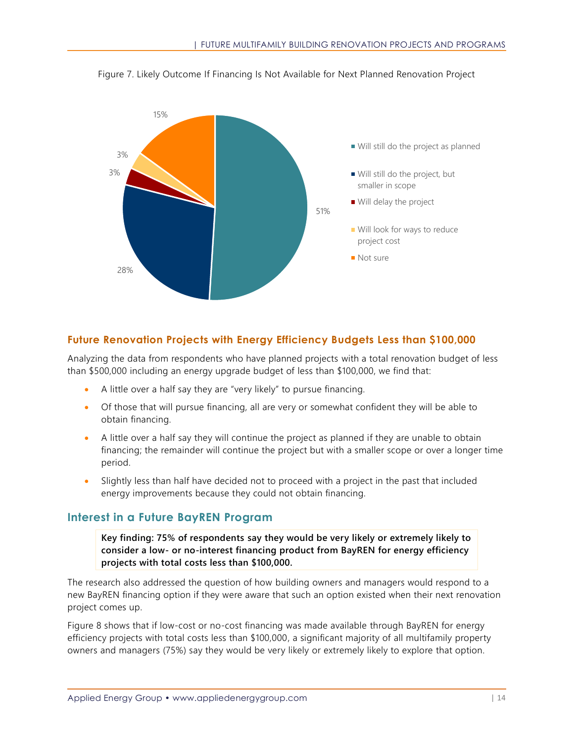

<span id="page-20-1"></span>Figure 7. Likely Outcome If Financing Is Not Available for Next Planned Renovation Project

## **Future Renovation Projects with Energy Efficiency Budgets Less than \$100,000**

Analyzing the data from respondents who have planned projects with a total renovation budget of less than \$500,000 including an energy upgrade budget of less than \$100,000, we find that:

- A little over a half say they are "very likely" to pursue financing.
- Of those that will pursue financing, all are very or somewhat confident they will be able to obtain financing.
- A little over a half say they will continue the project as planned if they are unable to obtain financing; the remainder will continue the project but with a smaller scope or over a longer time period.
- Slightly less than half have decided not to proceed with a project in the past that included energy improvements because they could not obtain financing.

## <span id="page-20-0"></span>**Interest in a Future BayREN Program**

**Key finding: 75% of respondents say they would be very likely or extremely likely to consider a low- or no-interest financing product from BayREN for energy efficiency projects with total costs less than \$100,000.**

The research also addressed the question of how building owners and managers would respond to a new BayREN financing option if they were aware that such an option existed when their next renovation project comes up.

[Figure 8](#page-21-0) shows that if low-cost or no-cost financing was made available through BayREN for energy efficiency projects with total costs less than \$100,000, a significant majority of all multifamily property owners and managers (75%) say they would be very likely or extremely likely to explore that option.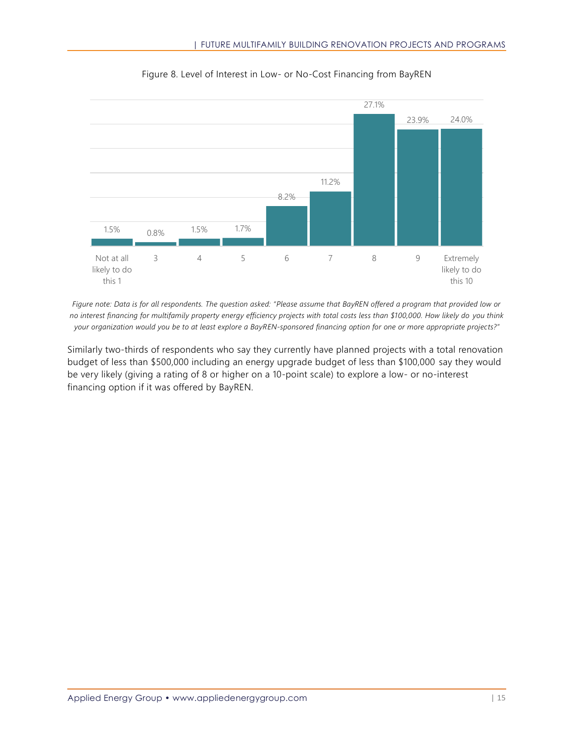<span id="page-21-0"></span>

Figure 8. Level of Interest in Low- or No-Cost Financing from BayREN

*Figure note: Data is for all respondents. The question asked: "Please assume that BayREN offered a program that provided low or no interest financing for multifamily property energy efficiency projects with total costs less than \$100,000. How likely do you think your organization would you be to at least explore a BayREN-sponsored financing option for one or more appropriate projects?"*

Similarly two-thirds of respondents who say they currently have planned projects with a total renovation budget of less than \$500,000 including an energy upgrade budget of less than \$100,000 say they would be very likely (giving a rating of 8 or higher on a 10-point scale) to explore a low- or no-interest financing option if it was offered by BayREN.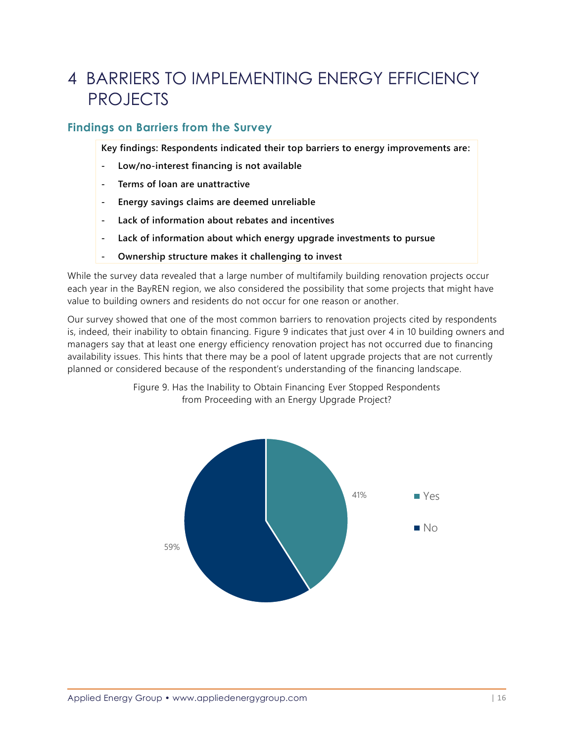# <span id="page-22-0"></span>4 BARRIERS TO IMPLEMENTING ENERGY EFFICIENCY PROJECTS

# <span id="page-22-1"></span>**Findings on Barriers from the Survey**

**Key findings: Respondents indicated their top barriers to energy improvements are:**

- **- Low/no-interest financing is not available**
- **- Terms of loan are unattractive**
- **- Energy savings claims are deemed unreliable**
- **- Lack of information about rebates and incentives**
- **- Lack of information about which energy upgrade investments to pursue**
- **- Ownership structure makes it challenging to invest**

While the survey data revealed that a large number of multifamily building renovation projects occur each year in the BayREN region, we also considered the possibility that some projects that might have value to building owners and residents do not occur for one reason or another.

<span id="page-22-2"></span>Our survey showed that one of the most common barriers to renovation projects cited by respondents is, indeed, their inability to obtain financing. [Figure 9](#page-22-2) indicates that just over 4 in 10 building owners and managers say that at least one energy efficiency renovation project has not occurred due to financing availability issues. This hints that there may be a pool of latent upgrade projects that are not currently planned or considered because of the respondent's understanding of the financing landscape.



Figure 9. Has the Inability to Obtain Financing Ever Stopped Respondents from Proceeding with an Energy Upgrade Project?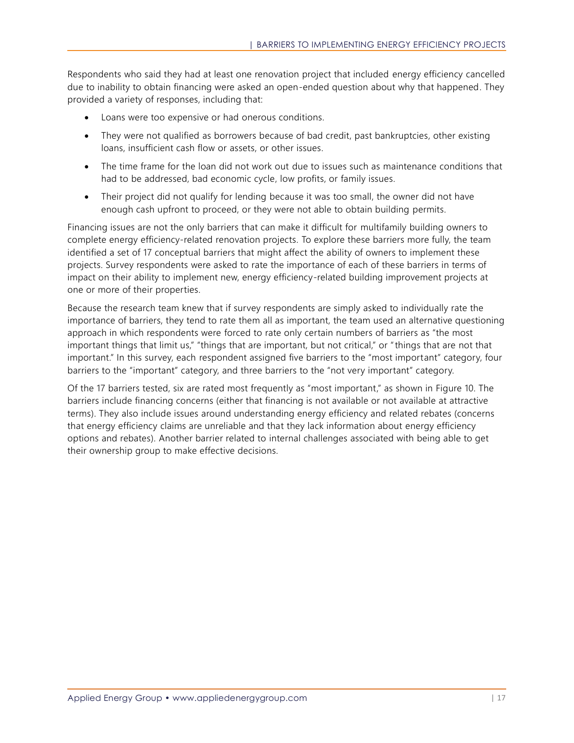Respondents who said they had at least one renovation project that included energy efficiency cancelled due to inability to obtain financing were asked an open-ended question about why that happened. They provided a variety of responses, including that:

- Loans were too expensive or had onerous conditions.
- They were not qualified as borrowers because of bad credit, past bankruptcies, other existing loans, insufficient cash flow or assets, or other issues.
- The time frame for the loan did not work out due to issues such as maintenance conditions that had to be addressed, bad economic cycle, low profits, or family issues.
- Their project did not qualify for lending because it was too small, the owner did not have enough cash upfront to proceed, or they were not able to obtain building permits.

Financing issues are not the only barriers that can make it difficult for multifamily building owners to complete energy efficiency-related renovation projects. To explore these barriers more fully, the team identified a set of 17 conceptual barriers that might affect the ability of owners to implement these projects. Survey respondents were asked to rate the importance of each of these barriers in terms of impact on their ability to implement new, energy efficiency-related building improvement projects at one or more of their properties.

Because the research team knew that if survey respondents are simply asked to individually rate the importance of barriers, they tend to rate them all as important, the team used an alternative questioning approach in which respondents were forced to rate only certain numbers of barriers as "the most important things that limit us," "things that are important, but not critical," or "things that are not that important." In this survey, each respondent assigned five barriers to the "most important" category, four barriers to the "important" category, and three barriers to the "not very important" category.

Of the 17 barriers tested, six are rated most frequently as "most important," as shown in [Figure 10.](#page-24-0) The barriers include financing concerns (either that financing is not available or not available at attractive terms). They also include issues around understanding energy efficiency and related rebates (concerns that energy efficiency claims are unreliable and that they lack information about energy efficiency options and rebates). Another barrier related to internal challenges associated with being able to get their ownership group to make effective decisions.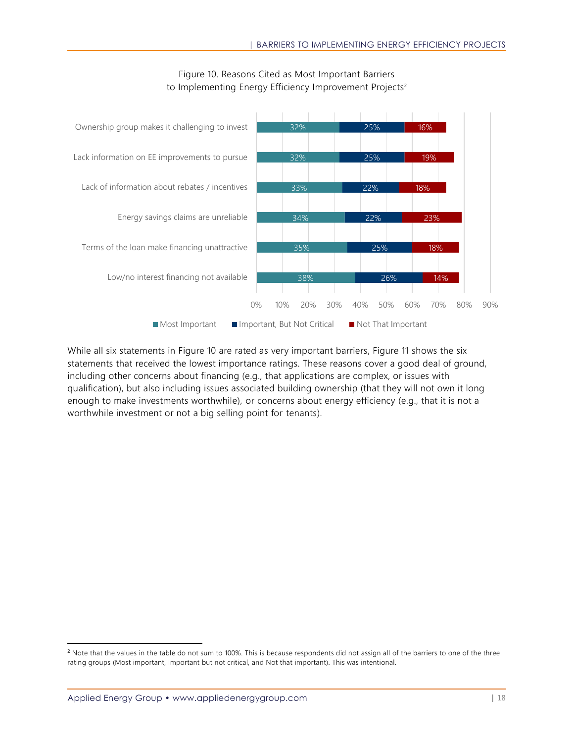<span id="page-24-0"></span>

### Figure 10. Reasons Cited as Most Important Barriers to Implementing Energy Efficiency Improvement Projects<sup>2</sup>

While all six statements in [Figure 10](#page-24-0) are rated as very important barriers, [Figure 11](#page-25-1) shows the six statements that received the lowest importance ratings. These reasons cover a good deal of ground, including other concerns about financing (e.g., that applications are complex, or issues with qualification), but also including issues associated building ownership (that they will not own it long enough to make investments worthwhile), or concerns about energy efficiency (e.g., that it is not a worthwhile investment or not a big selling point for tenants).

<sup>&</sup>lt;sup>2</sup> Note that the values in the table do not sum to 100%. This is because respondents did not assign all of the barriers to one of the three rating groups (Most important, Important but not critical, and Not that important). This was intentional.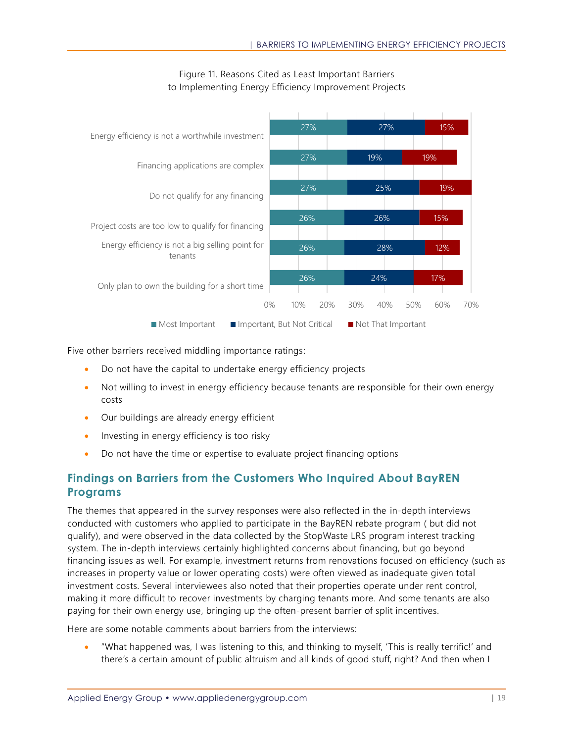<span id="page-25-1"></span>

### Figure 11. Reasons Cited as Least Important Barriers to Implementing Energy Efficiency Improvement Projects

Five other barriers received middling importance ratings:

- Do not have the capital to undertake energy efficiency projects
- Not willing to invest in energy efficiency because tenants are responsible for their own energy costs
- Our buildings are already energy efficient
- Investing in energy efficiency is too risky
- Do not have the time or expertise to evaluate project financing options

## <span id="page-25-0"></span>**Findings on Barriers from the Customers Who Inquired About BayREN Programs**

The themes that appeared in the survey responses were also reflected in the in-depth interviews conducted with customers who applied to participate in the BayREN rebate program ( but did not qualify), and were observed in the data collected by the StopWaste LRS program interest tracking system. The in-depth interviews certainly highlighted concerns about financing, but go beyond financing issues as well. For example, investment returns from renovations focused on efficiency (such as increases in property value or lower operating costs) were often viewed as inadequate given total investment costs. Several interviewees also noted that their properties operate under rent control, making it more difficult to recover investments by charging tenants more. And some tenants are also paying for their own energy use, bringing up the often-present barrier of split incentives.

Here are some notable comments about barriers from the interviews:

• "What happened was, I was listening to this, and thinking to myself, 'This is really terrific!' and there's a certain amount of public altruism and all kinds of good stuff, right? And then when I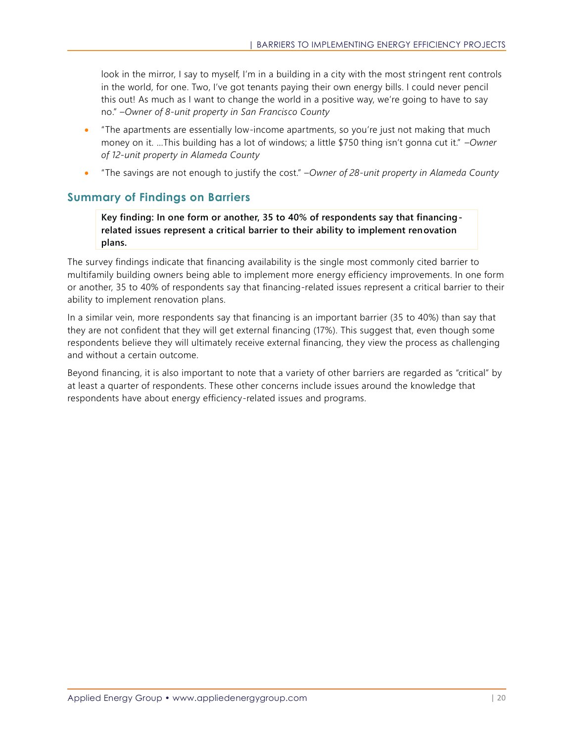look in the mirror, I say to myself, I'm in a building in a city with the most stringent rent controls in the world, for one. Two, I've got tenants paying their own energy bills. I could never pencil this out! As much as I want to change the world in a positive way, we're going to have to say no." *–Owner of 8-unit property in San Francisco County*

- "The apartments are essentially low-income apartments, so you're just not making that much money on it. …This building has a lot of windows; a little \$750 thing isn't gonna cut it." –*Owner of 12-unit property in Alameda County*
- "The savings are not enough to justify the cost." –*Owner of 28-unit property in Alameda County*

## <span id="page-26-0"></span>**Summary of Findings on Barriers**

**Key finding: In one form or another, 35 to 40% of respondents say that financingrelated issues represent a critical barrier to their ability to implement renovation plans.**

The survey findings indicate that financing availability is the single most commonly cited barrier to multifamily building owners being able to implement more energy efficiency improvements. In one form or another, 35 to 40% of respondents say that financing-related issues represent a critical barrier to their ability to implement renovation plans.

In a similar vein, more respondents say that financing is an important barrier (35 to 40%) than say that they are not confident that they will get external financing (17%). This suggest that, even though some respondents believe they will ultimately receive external financing, they view the process as challenging and without a certain outcome.

Beyond financing, it is also important to note that a variety of other barriers are regarded as "critical" by at least a quarter of respondents. These other concerns include issues around the knowledge that respondents have about energy efficiency-related issues and programs.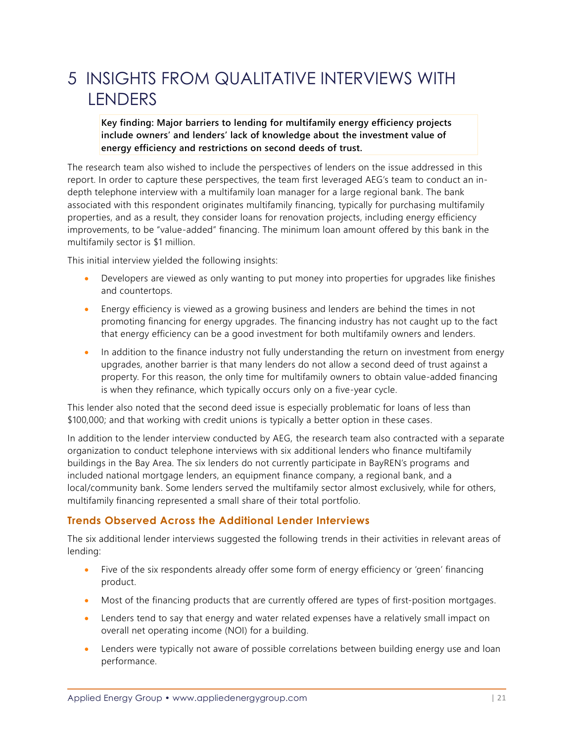# 5 INSIGHTS FROM QUALITATIVE INTERVIEWS WITH **LENDERS**

### **Key finding: Major barriers to lending for multifamily energy efficiency projects include owners' and lenders' lack of knowledge about the investment value of energy efficiency and restrictions on second deeds of trust.**

The research team also wished to include the perspectives of lenders on the issue addressed in this report. In order to capture these perspectives, the team first leveraged AEG's team to conduct an indepth telephone interview with a multifamily loan manager for a large regional bank. The bank associated with this respondent originates multifamily financing, typically for purchasing multifamily properties, and as a result, they consider loans for renovation projects, including energy efficiency improvements, to be "value-added" financing. The minimum loan amount offered by this bank in the multifamily sector is \$1 million.

This initial interview yielded the following insights:

- Developers are viewed as only wanting to put money into properties for upgrades like finishes and countertops.
- Energy efficiency is viewed as a growing business and lenders are behind the times in not promoting financing for energy upgrades. The financing industry has not caught up to the fact that energy efficiency can be a good investment for both multifamily owners and lenders.
- In addition to the finance industry not fully understanding the return on investment from energy upgrades, another barrier is that many lenders do not allow a second deed of trust against a property. For this reason, the only time for multifamily owners to obtain value-added financing is when they refinance, which typically occurs only on a five-year cycle.

This lender also noted that the second deed issue is especially problematic for loans of less than \$100,000; and that working with credit unions is typically a better option in these cases.

In addition to the lender interview conducted by AEG, the research team also contracted with a separate organization to conduct telephone interviews with six additional lenders who finance multifamily buildings in the Bay Area. The six lenders do not currently participate in BayREN's programs and included national mortgage lenders, an equipment finance company, a regional bank, and a local/community bank. Some lenders served the multifamily sector almost exclusively, while for others, multifamily financing represented a small share of their total portfolio.

## **Trends Observed Across the Additional Lender Interviews**

The six additional lender interviews suggested the following trends in their activities in relevant areas of lending:

- Five of the six respondents already offer some form of energy efficiency or 'green' financing product.
- Most of the financing products that are currently offered are types of first-position mortgages.
- Lenders tend to say that energy and water related expenses have a relatively small impact on overall net operating income (NOI) for a building.
- Lenders were typically not aware of possible correlations between building energy use and loan performance.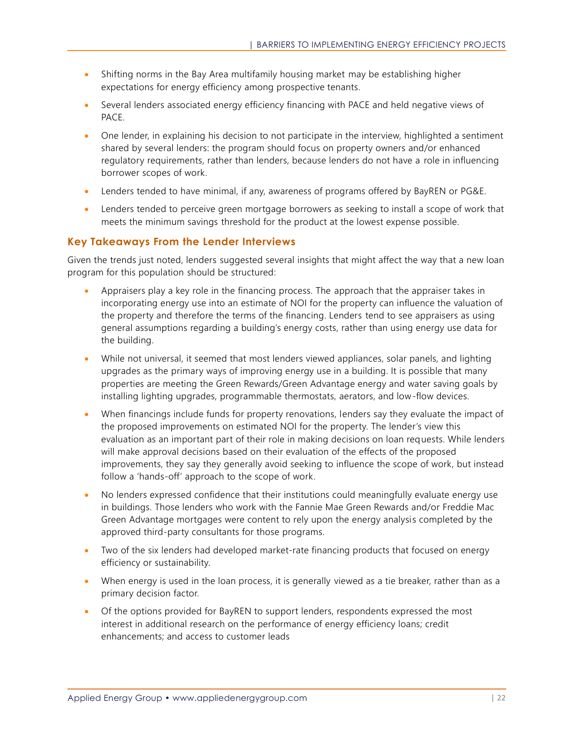- Shifting norms in the Bay Area multifamily housing market may be establishing higher expectations for energy efficiency among prospective tenants.
- Several lenders associated energy efficiency financing with PACE and held negative views of PACE.
- One lender, in explaining his decision to not participate in the interview, highlighted a sentiment shared by several lenders: the program should focus on property owners and/or enhanced regulatory requirements, rather than lenders, because lenders do not have a role in influencing borrower scopes of work.
- Lenders tended to have minimal, if any, awareness of programs offered by BayREN or PG&E.
- Lenders tended to perceive green mortgage borrowers as seeking to install a scope of work that meets the minimum savings threshold for the product at the lowest expense possible.

## **Key Takeaways From the Lender Interviews**

Given the trends just noted, lenders suggested several insights that might affect the way that a new loan program for this population should be structured:

- Appraisers play a key role in the financing process. The approach that the appraiser takes in incorporating energy use into an estimate of NOI for the property can influence the valuation of the property and therefore the terms of the financing. Lenders tend to see appraisers as using general assumptions regarding a building's energy costs, rather than using energy use data for the building.
- While not universal, it seemed that most lenders viewed appliances, solar panels, and lighting upgrades as the primary ways of improving energy use in a building. It is possible that many properties are meeting the Green Rewards/Green Advantage energy and water saving goals by installing lighting upgrades, programmable thermostats, aerators, and low-flow devices.
- When financings include funds for property renovations, lenders say they evaluate the impact of the proposed improvements on estimated NOI for the property. The lender's view this evaluation as an important part of their role in making decisions on loan requests. While lenders will make approval decisions based on their evaluation of the effects of the proposed improvements, they say they generally avoid seeking to influence the scope of work, but instead follow a 'hands-off' approach to the scope of work.
- No lenders expressed confidence that their institutions could meaningfully evaluate energy use in buildings. Those lenders who work with the Fannie Mae Green Rewards and/or Freddie Mac Green Advantage mortgages were content to rely upon the energy analysis completed by the approved third-party consultants for those programs.
- Two of the six lenders had developed market-rate financing products that focused on energy efficiency or sustainability.
- When energy is used in the loan process, it is generally viewed as a tie breaker, rather than as a primary decision factor.
- Of the options provided for BayREN to support lenders, respondents expressed the most interest in additional research on the performance of energy efficiency loans; credit enhancements; and access to customer leads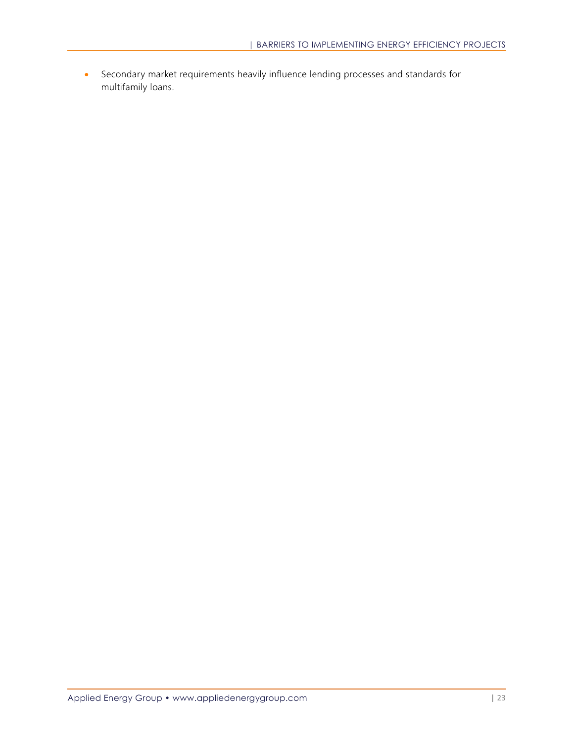• Secondary market requirements heavily influence lending processes and standards for multifamily loans.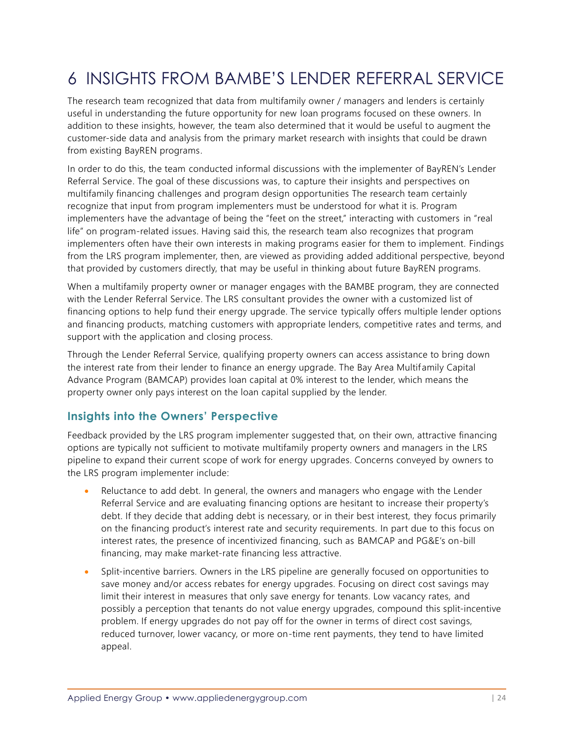# <span id="page-30-0"></span>6 INSIGHTS FROM BAMBE'S LENDER REFERRAL SERVICE

The research team recognized that data from multifamily owner / managers and lenders is certainly useful in understanding the future opportunity for new loan programs focused on these owners. In addition to these insights, however, the team also determined that it would be useful to augment the customer-side data and analysis from the primary market research with insights that could be drawn from existing BayREN programs.

In order to do this, the team conducted informal discussions with the implementer of BayREN's Lender Referral Service. The goal of these discussions was, to capture their insights and perspectives on multifamily financing challenges and program design opportunities The research team certainly recognize that input from program implementers must be understood for what it is. Program implementers have the advantage of being the "feet on the street," interacting with customers in "real life" on program-related issues. Having said this, the research team also recognizes that program implementers often have their own interests in making programs easier for them to implement. Findings from the LRS program implementer, then, are viewed as providing added additional perspective, beyond that provided by customers directly, that may be useful in thinking about future BayREN programs.

When a multifamily property owner or manager engages with the BAMBE program, they are connected with the Lender Referral Service. The LRS consultant provides the owner with a customized list of financing options to help fund their energy upgrade. The service typically offers multiple lender options and financing products, matching customers with appropriate lenders, competitive rates and terms, and support with the application and closing process.

Through the Lender Referral Service, qualifying property owners can access assistance to bring down the interest rate from their lender to finance an energy upgrade. The Bay Area Multifamily Capital Advance Program (BAMCAP) provides loan capital at 0% interest to the lender, which means the property owner only pays interest on the loan capital supplied by the lender.

## <span id="page-30-1"></span>**Insights into the Owners' Perspective**

Feedback provided by the LRS program implementer suggested that, on their own, attractive financing options are typically not sufficient to motivate multifamily property owners and managers in the LRS pipeline to expand their current scope of work for energy upgrades. Concerns conveyed by owners to the LRS program implementer include:

- Reluctance to add debt. In general, the owners and managers who engage with the Lender Referral Service and are evaluating financing options are hesitant to increase their property's debt. If they decide that adding debt is necessary, or in their best interest, they focus primarily on the financing product's interest rate and security requirements. In part due to this focus on interest rates, the presence of incentivized financing, such as BAMCAP and PG&E's on-bill financing, may make market-rate financing less attractive.
- Split-incentive barriers. Owners in the LRS pipeline are generally focused on opportunities to save money and/or access rebates for energy upgrades. Focusing on direct cost savings may limit their interest in measures that only save energy for tenants. Low vacancy rates, and possibly a perception that tenants do not value energy upgrades, compound this split-incentive problem. If energy upgrades do not pay off for the owner in terms of direct cost savings, reduced turnover, lower vacancy, or more on-time rent payments, they tend to have limited appeal.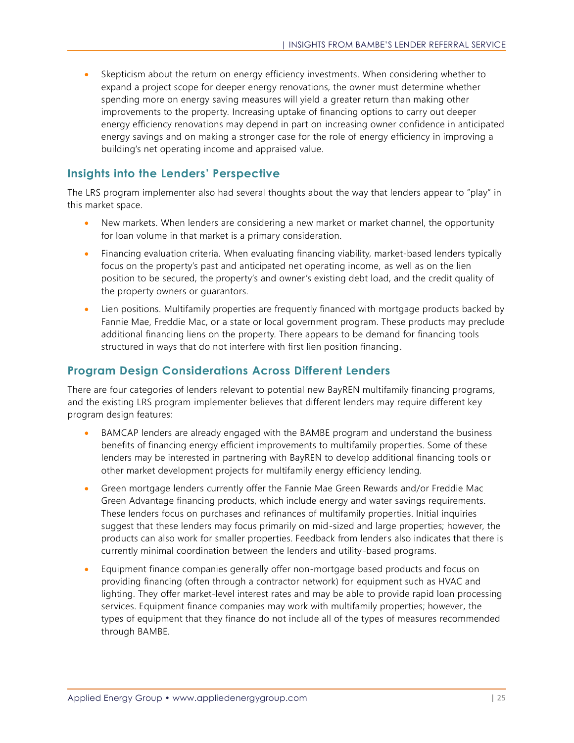• Skepticism about the return on energy efficiency investments. When considering whether to expand a project scope for deeper energy renovations, the owner must determine whether spending more on energy saving measures will yield a greater return than making other improvements to the property. Increasing uptake of financing options to carry out deeper energy efficiency renovations may depend in part on increasing owner confidence in anticipated energy savings and on making a stronger case for the role of energy efficiency in improving a building's net operating income and appraised value.

## <span id="page-31-0"></span>**Insights into the Lenders' Perspective**

The LRS program implementer also had several thoughts about the way that lenders appear to "play" in this market space.

- New markets. When lenders are considering a new market or market channel, the opportunity for loan volume in that market is a primary consideration.
- Financing evaluation criteria. When evaluating financing viability, market-based lenders typically focus on the property's past and anticipated net operating income, as well as on the lien position to be secured, the property's and owner's existing debt load, and the credit quality of the property owners or guarantors.
- Lien positions. Multifamily properties are frequently financed with mortgage products backed by Fannie Mae, Freddie Mac, or a state or local government program. These products may preclude additional financing liens on the property. There appears to be demand for financing tools structured in ways that do not interfere with first lien position financing.

## <span id="page-31-1"></span>**Program Design Considerations Across Different Lenders**

There are four categories of lenders relevant to potential new BayREN multifamily financing programs, and the existing LRS program implementer believes that different lenders may require different key program design features:

- BAMCAP lenders are already engaged with the BAMBE program and understand the business benefits of financing energy efficient improvements to multifamily properties. Some of these lenders may be interested in partnering with BayREN to develop additional financing tools or other market development projects for multifamily energy efficiency lending.
- Green mortgage lenders currently offer the Fannie Mae Green Rewards and/or Freddie Mac Green Advantage financing products, which include energy and water savings requirements. These lenders focus on purchases and refinances of multifamily properties. Initial inquiries suggest that these lenders may focus primarily on mid-sized and large properties; however, the products can also work for smaller properties. Feedback from lenders also indicates that there is currently minimal coordination between the lenders and utility-based programs.
- Equipment finance companies generally offer non-mortgage based products and focus on providing financing (often through a contractor network) for equipment such as HVAC and lighting. They offer market-level interest rates and may be able to provide rapid loan processing services. Equipment finance companies may work with multifamily properties; however, the types of equipment that they finance do not include all of the types of measures recommended through BAMBE.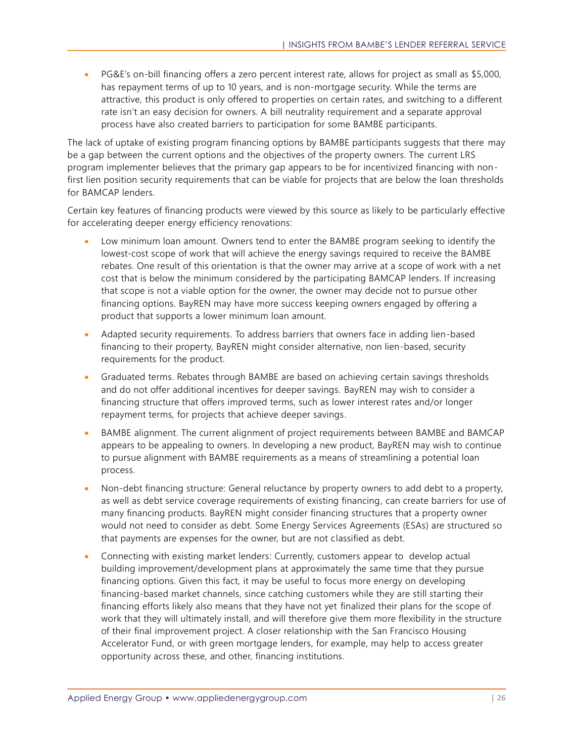• PG&E's on-bill financing offers a zero percent interest rate, allows for project as small as \$5,000, has repayment terms of up to 10 years, and is non-mortgage security. While the terms are attractive, this product is only offered to properties on certain rates, and switching to a different rate isn't an easy decision for owners. A bill neutrality requirement and a separate approval process have also created barriers to participation for some BAMBE participants.

The lack of uptake of existing program financing options by BAMBE participants suggests that there may be a gap between the current options and the objectives of the property owners. The current LRS program implementer believes that the primary gap appears to be for incentivized financing with nonfirst lien position security requirements that can be viable for projects that are below the loan thresholds for BAMCAP lenders.

Certain key features of financing products were viewed by this source as likely to be particularly effective for accelerating deeper energy efficiency renovations:

- Low minimum loan amount. Owners tend to enter the BAMBE program seeking to identify the lowest-cost scope of work that will achieve the energy savings required to receive the BAMBE rebates. One result of this orientation is that the owner may arrive at a scope of work with a net cost that is below the minimum considered by the participating BAMCAP lenders. If increasing that scope is not a viable option for the owner, the owner may decide not to pursue other financing options. BayREN may have more success keeping owners engaged by offering a product that supports a lower minimum loan amount.
- Adapted security requirements. To address barriers that owners face in adding lien-based financing to their property, BayREN might consider alternative, non lien-based, security requirements for the product.
- Graduated terms. Rebates through BAMBE are based on achieving certain savings thresholds and do not offer additional incentives for deeper savings. BayREN may wish to consider a financing structure that offers improved terms, such as lower interest rates and/or longer repayment terms, for projects that achieve deeper savings.
- BAMBE alignment. The current alignment of project requirements between BAMBE and BAMCAP appears to be appealing to owners. In developing a new product, BayREN may wish to continue to pursue alignment with BAMBE requirements as a means of streamlining a potential loan process.
- Non-debt financing structure: General reluctance by property owners to add debt to a property, as well as debt service coverage requirements of existing financing, can create barriers for use of many financing products. BayREN might consider financing structures that a property owner would not need to consider as debt. Some Energy Services Agreements (ESAs) are structured so that payments are expenses for the owner, but are not classified as debt.
- Connecting with existing market lenders: Currently, customers appear to develop actual building improvement/development plans at approximately the same time that they pursue financing options. Given this fact, it may be useful to focus more energy on developing financing-based market channels, since catching customers while they are still starting their financing efforts likely also means that they have not yet finalized their plans for the scope of work that they will ultimately install, and will therefore give them more flexibility in the structure of their final improvement project. A closer relationship with the San Francisco Housing Accelerator Fund, or with green mortgage lenders, for example, may help to access greater opportunity across these, and other, financing institutions.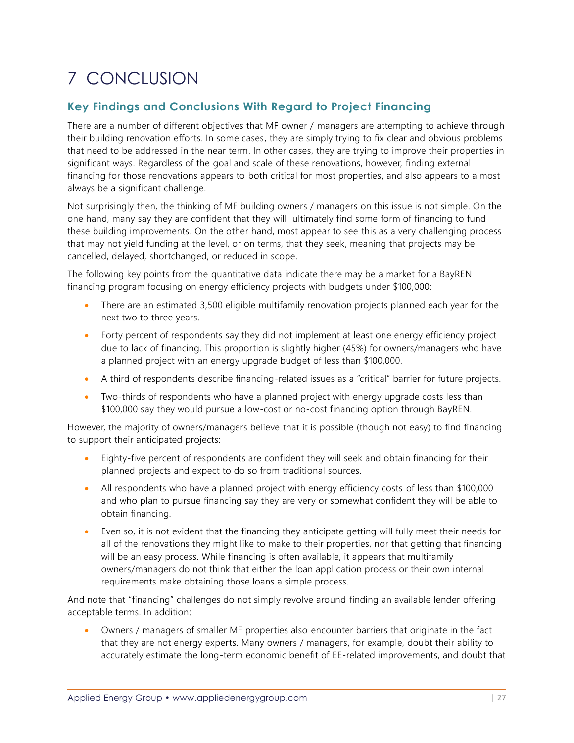# <span id="page-33-0"></span>7 CONCLUSION

# **Key Findings and Conclusions With Regard to Project Financing**

There are a number of different objectives that MF owner / managers are attempting to achieve through their building renovation efforts. In some cases, they are simply trying to fix clear and obvious problems that need to be addressed in the near term. In other cases, they are trying to improve their properties in significant ways. Regardless of the goal and scale of these renovations, however, finding external financing for those renovations appears to both critical for most properties, and also appears to almost always be a significant challenge.

Not surprisingly then, the thinking of MF building owners / managers on this issue is not simple. On the one hand, many say they are confident that they will ultimately find some form of financing to fund these building improvements. On the other hand, most appear to see this as a very challenging process that may not yield funding at the level, or on terms, that they seek, meaning that projects may be cancelled, delayed, shortchanged, or reduced in scope.

The following key points from the quantitative data indicate there may be a market for a BayREN financing program focusing on energy efficiency projects with budgets under \$100,000:

- There are an estimated 3,500 eligible multifamily renovation projects planned each year for the next two to three years.
- Forty percent of respondents say they did not implement at least one energy efficiency project due to lack of financing. This proportion is slightly higher (45%) for owners/managers who have a planned project with an energy upgrade budget of less than \$100,000.
- A third of respondents describe financing-related issues as a "critical" barrier for future projects.
- Two-thirds of respondents who have a planned project with energy upgrade costs less than \$100,000 say they would pursue a low-cost or no-cost financing option through BayREN.

However, the majority of owners/managers believe that it is possible (though not easy) to find financing to support their anticipated projects:

- Eighty-five percent of respondents are confident they will seek and obtain financing for their planned projects and expect to do so from traditional sources.
- All respondents who have a planned project with energy efficiency costs of less than \$100,000 and who plan to pursue financing say they are very or somewhat confident they will be able to obtain financing.
- Even so, it is not evident that the financing they anticipate getting will fully meet their needs for all of the renovations they might like to make to their properties, nor that getting that financing will be an easy process. While financing is often available, it appears that multifamily owners/managers do not think that either the loan application process or their own internal requirements make obtaining those loans a simple process.

And note that "financing" challenges do not simply revolve around finding an available lender offering acceptable terms. In addition:

• Owners / managers of smaller MF properties also encounter barriers that originate in the fact that they are not energy experts. Many owners / managers, for example, doubt their ability to accurately estimate the long-term economic benefit of EE-related improvements, and doubt that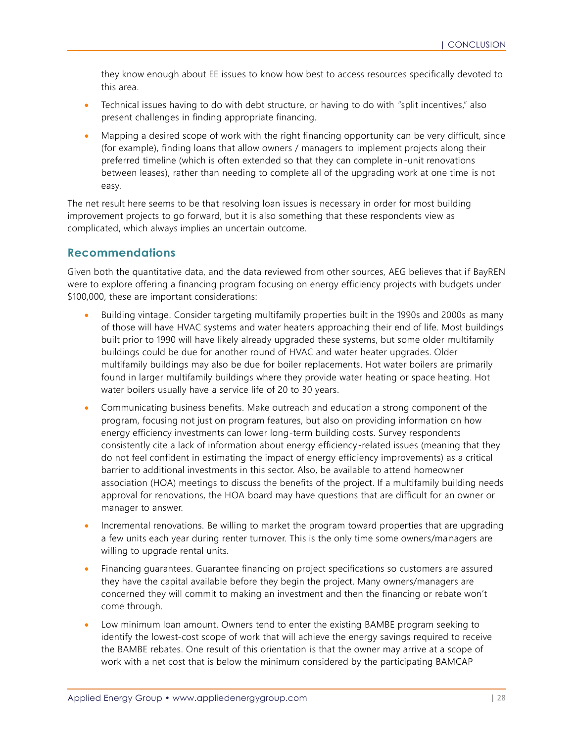they know enough about EE issues to know how best to access resources specifically devoted to this area.

- Technical issues having to do with debt structure, or having to do with "split incentives," also present challenges in finding appropriate financing.
- Mapping a desired scope of work with the right financing opportunity can be very difficult, since (for example), finding loans that allow owners / managers to implement projects along their preferred timeline (which is often extended so that they can complete in-unit renovations between leases), rather than needing to complete all of the upgrading work at one time is not easy.

The net result here seems to be that resolving loan issues is necessary in order for most building improvement projects to go forward, but it is also something that these respondents view as complicated, which always implies an uncertain outcome.

### <span id="page-34-0"></span>**Recommendations**

Given both the quantitative data, and the data reviewed from other sources, AEG believes that if BayREN were to explore offering a financing program focusing on energy efficiency projects with budgets under \$100,000, these are important considerations:

- Building vintage. Consider targeting multifamily properties built in the 1990s and 2000s as many of those will have HVAC systems and water heaters approaching their end of life. Most buildings built prior to 1990 will have likely already upgraded these systems, but some older multifamily buildings could be due for another round of HVAC and water heater upgrades. Older multifamily buildings may also be due for boiler replacements. Hot water boilers are primarily found in larger multifamily buildings where they provide water heating or space heating. Hot water boilers usually have a service life of 20 to 30 years.
- Communicating business benefits. Make outreach and education a strong component of the program, focusing not just on program features, but also on providing information on how energy efficiency investments can lower long-term building costs. Survey respondents consistently cite a lack of information about energy efficiency-related issues (meaning that they do not feel confident in estimating the impact of energy efficiency improvements) as a critical barrier to additional investments in this sector. Also, be available to attend homeowner association (HOA) meetings to discuss the benefits of the project. If a multifamily building needs approval for renovations, the HOA board may have questions that are difficult for an owner or manager to answer.
- Incremental renovations. Be willing to market the program toward properties that are upgrading a few units each year during renter turnover. This is the only time some owners/managers are willing to upgrade rental units.
- Financing guarantees. Guarantee financing on project specifications so customers are assured they have the capital available before they begin the project. Many owners/managers are concerned they will commit to making an investment and then the financing or rebate won't come through.
- Low minimum loan amount. Owners tend to enter the existing BAMBE program seeking to identify the lowest-cost scope of work that will achieve the energy savings required to receive the BAMBE rebates. One result of this orientation is that the owner may arrive at a scope of work with a net cost that is below the minimum considered by the participating BAMCAP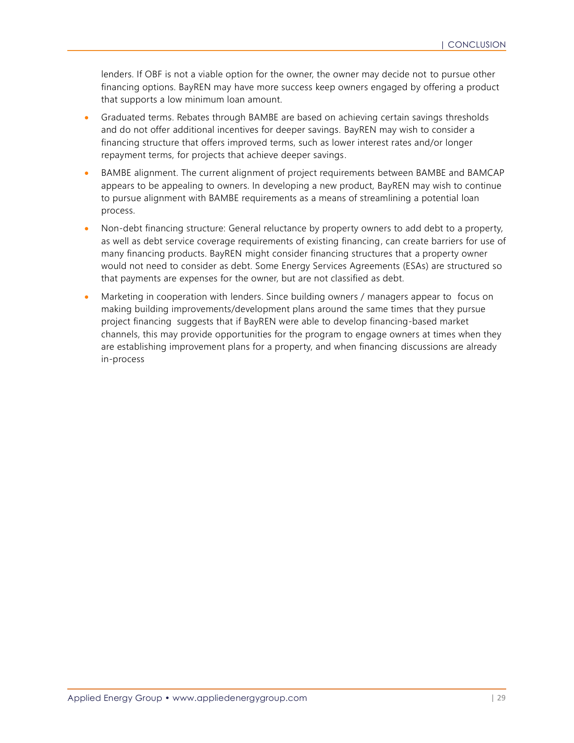lenders. If OBF is not a viable option for the owner, the owner may decide not to pursue other financing options. BayREN may have more success keep owners engaged by offering a product that supports a low minimum loan amount.

- Graduated terms. Rebates through BAMBE are based on achieving certain savings thresholds and do not offer additional incentives for deeper savings. BayREN may wish to consider a financing structure that offers improved terms, such as lower interest rates and/or longer repayment terms, for projects that achieve deeper savings.
- BAMBE alignment. The current alignment of project requirements between BAMBE and BAMCAP appears to be appealing to owners. In developing a new product, BayREN may wish to continue to pursue alignment with BAMBE requirements as a means of streamlining a potential loan process.
- Non-debt financing structure: General reluctance by property owners to add debt to a property, as well as debt service coverage requirements of existing financing, can create barriers for use of many financing products. BayREN might consider financing structures that a property owner would not need to consider as debt. Some Energy Services Agreements (ESAs) are structured so that payments are expenses for the owner, but are not classified as debt.
- Marketing in cooperation with lenders. Since building owners / managers appear to focus on making building improvements/development plans around the same times that they pursue project financing suggests that if BayREN were able to develop financing-based market channels, this may provide opportunities for the program to engage owners at times when they are establishing improvement plans for a property, and when financing discussions are already in-process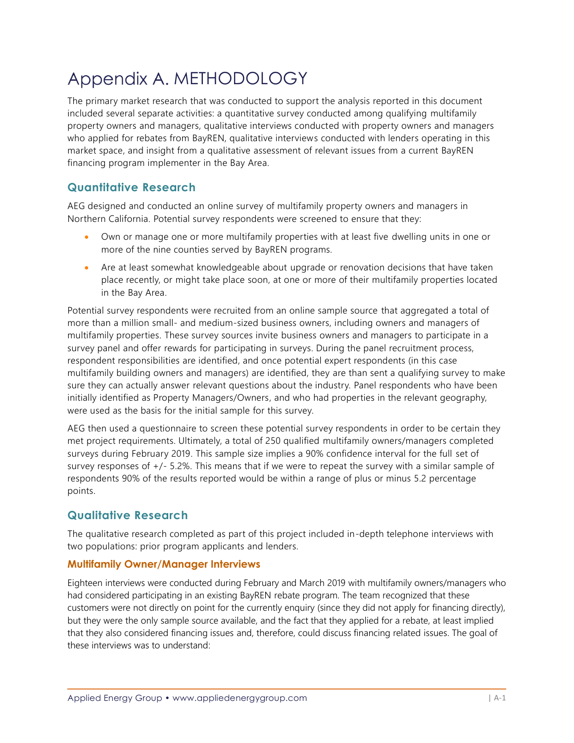# <span id="page-36-0"></span>Appendix A. METHODOLOGY

The primary market research that was conducted to support the analysis reported in this document included several separate activities: a quantitative survey conducted among qualifying multifamily property owners and managers, qualitative interviews conducted with property owners and managers who applied for rebates from BayREN, qualitative interviews conducted with lenders operating in this market space, and insight from a qualitative assessment of relevant issues from a current BayREN financing program implementer in the Bay Area.

## **Quantitative Research**

AEG designed and conducted an online survey of multifamily property owners and managers in Northern California. Potential survey respondents were screened to ensure that they:

- Own or manage one or more multifamily properties with at least five dwelling units in one or more of the nine counties served by BayREN programs.
- Are at least somewhat knowledgeable about upgrade or renovation decisions that have taken place recently, or might take place soon, at one or more of their multifamily properties located in the Bay Area.

Potential survey respondents were recruited from an online sample source that aggregated a total of more than a million small- and medium-sized business owners, including owners and managers of multifamily properties. These survey sources invite business owners and managers to participate in a survey panel and offer rewards for participating in surveys. During the panel recruitment process, respondent responsibilities are identified, and once potential expert respondents (in this case multifamily building owners and managers) are identified, they are than sent a qualifying survey to make sure they can actually answer relevant questions about the industry. Panel respondents who have been initially identified as Property Managers/Owners, and who had properties in the relevant geography, were used as the basis for the initial sample for this survey.

AEG then used a questionnaire to screen these potential survey respondents in order to be certain they met project requirements. Ultimately, a total of 250 qualified multifamily owners/managers completed surveys during February 2019. This sample size implies a 90% confidence interval for the full set of survey responses of +/- 5.2%. This means that if we were to repeat the survey with a similar sample of respondents 90% of the results reported would be within a range of plus or minus 5.2 percentage points.

# **Qualitative Research**

The qualitative research completed as part of this project included in-depth telephone interviews with two populations: prior program applicants and lenders.

### **Multifamily Owner/Manager Interviews**

Eighteen interviews were conducted during February and March 2019 with multifamily owners/managers who had considered participating in an existing BayREN rebate program. The team recognized that these customers were not directly on point for the currently enquiry (since they did not apply for financing directly), but they were the only sample source available, and the fact that they applied for a rebate, at least implied that they also considered financing issues and, therefore, could discuss financing related issues. The goal of these interviews was to understand: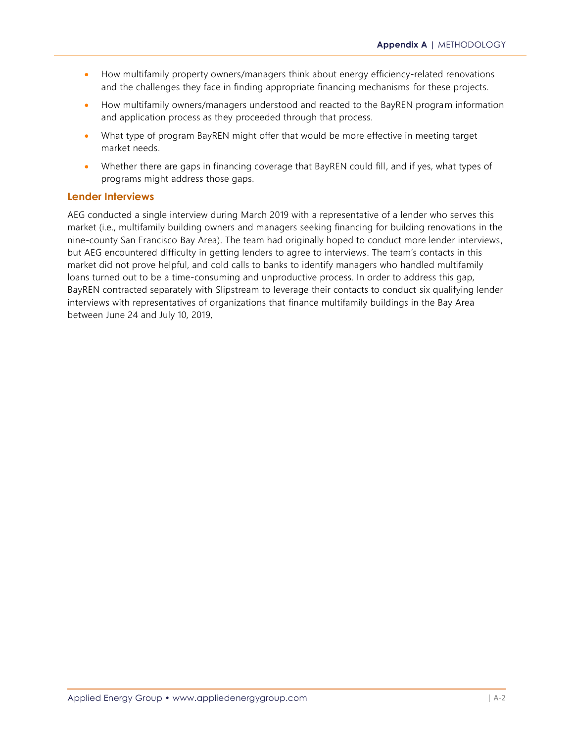- How multifamily property owners/managers think about energy efficiency-related renovations and the challenges they face in finding appropriate financing mechanisms for these projects.
- How multifamily owners/managers understood and reacted to the BayREN program information and application process as they proceeded through that process.
- What type of program BayREN might offer that would be more effective in meeting target market needs.
- Whether there are gaps in financing coverage that BayREN could fill, and if yes, what types of programs might address those gaps.

### **Lender Interviews**

AEG conducted a single interview during March 2019 with a representative of a lender who serves this market (i.e., multifamily building owners and managers seeking financing for building renovations in the nine-county San Francisco Bay Area). The team had originally hoped to conduct more lender interviews, but AEG encountered difficulty in getting lenders to agree to interviews. The team's contacts in this market did not prove helpful, and cold calls to banks to identify managers who handled multifamily loans turned out to be a time-consuming and unproductive process. In order to address this gap, BayREN contracted separately with Slipstream to leverage their contacts to conduct six qualifying lender interviews with representatives of organizations that finance multifamily buildings in the Bay Area between June 24 and July 10, 2019,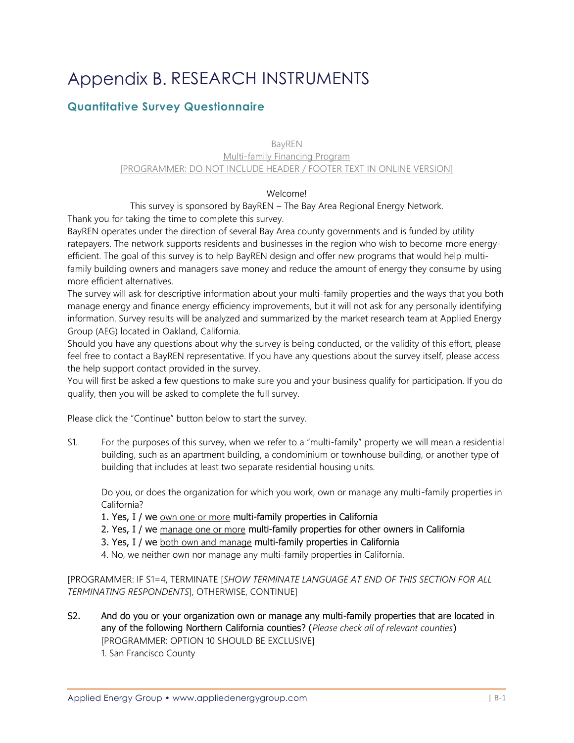# <span id="page-38-0"></span>Appendix B. RESEARCH INSTRUMENTS

# **Quantitative Survey Questionnaire**

### BayREN Multi-family Financing Program [PROGRAMMER: DO NOT INCLUDE HEADER / FOOTER TEXT IN ONLINE VERSION]

### Welcome!

This survey is sponsored by BayREN – The Bay Area Regional Energy Network. Thank you for taking the time to complete this survey.

BayREN operates under the direction of several Bay Area county governments and is funded by utility ratepayers. The network supports residents and businesses in the region who wish to become more energyefficient. The goal of this survey is to help BayREN design and offer new programs that would help multifamily building owners and managers save money and reduce the amount of energy they consume by using more efficient alternatives.

The survey will ask for descriptive information about your multi-family properties and the ways that you both manage energy and finance energy efficiency improvements, but it will not ask for any personally identifying information. Survey results will be analyzed and summarized by the market research team at Applied Energy Group (AEG) located in Oakland, California.

Should you have any questions about why the survey is being conducted, or the validity of this effort, please feel free to contact a BayREN representative. If you have any questions about the survey itself, please access the help support contact provided in the survey.

You will first be asked a few questions to make sure you and your business qualify for participation. If you do qualify, then you will be asked to complete the full survey.

Please click the "Continue" button below to start the survey.

S1. For the purposes of this survey, when we refer to a "multi-family" property we will mean a residential building, such as an apartment building, a condominium or townhouse building, or another type of building that includes at least two separate residential housing units.

Do you, or does the organization for which you work, own or manage any multi-family properties in California?

1. Yes, I / we own one or more multi-family properties in California

2. Yes, I / we manage one or more multi-family properties for other owners in California

3. Yes, I / we both own and manage multi-family properties in California

4. No, we neither own nor manage any multi-family properties in California.

[PROGRAMMER: IF S1=4, TERMINATE [*SHOW TERMINATE LANGUAGE AT END OF THIS SECTION FOR ALL TERMINATING RESPONDENTS*], OTHERWISE, CONTINUE]

S2. And do you or your organization own or manage any multi-family properties that are located in any of the following Northern California counties? (*Please check all of relevant counties*) [PROGRAMMER: OPTION 10 SHOULD BE EXCLUSIVE] 1. San Francisco County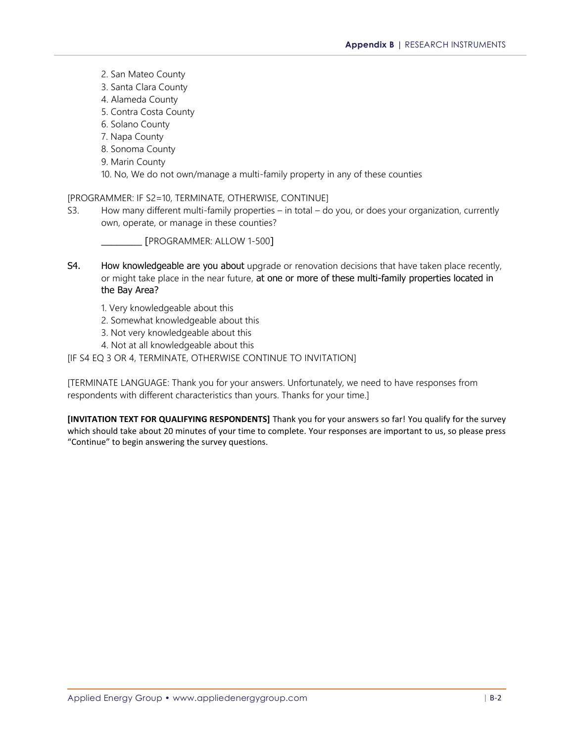2. San Mateo County 3. Santa Clara County 4. Alameda County 5. Contra Costa County 6. Solano County 7. Napa County 8. Sonoma County 9. Marin County 10. No, We do not own/manage a multi-family property in any of these counties

[PROGRAMMER: IF S2=10, TERMINATE, OTHERWISE, CONTINUE]

S3. How many different multi-family properties – in total – do you, or does your organization, currently own, operate, or manage in these counties?

\_\_\_\_\_\_\_\_ [PROGRAMMER: ALLOW 1-500]

- S4. How knowledgeable are you about upgrade or renovation decisions that have taken place recently, or might take place in the near future, at one or more of these multi-family properties located in the Bay Area?
	- 1. Very knowledgeable about this
	- 2. Somewhat knowledgeable about this
	- 3. Not very knowledgeable about this
	- 4. Not at all knowledgeable about this

#### [IF S4 EQ 3 OR 4, TERMINATE, OTHERWISE CONTINUE TO INVITATION]

[TERMINATE LANGUAGE: Thank you for your answers. Unfortunately, we need to have responses from respondents with different characteristics than yours. Thanks for your time.]

**[INVITATION TEXT FOR QUALIFYING RESPONDENTS]** Thank you for your answers so far! You qualify for the survey which should take about 20 minutes of your time to complete. Your responses are important to us, so please press "Continue" to begin answering the survey questions.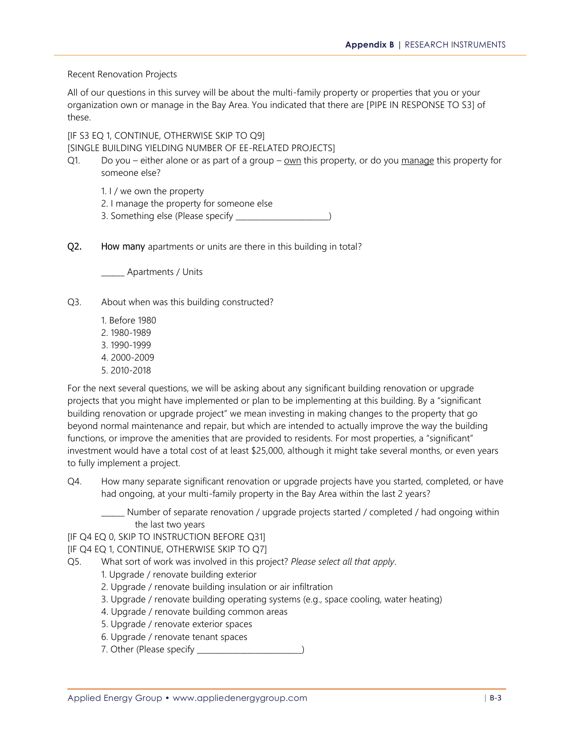Recent Renovation Projects

All of our questions in this survey will be about the multi-family property or properties that you or your organization own or manage in the Bay Area. You indicated that there are [PIPE IN RESPONSE TO S3] of these.

[IF S3 EQ 1, CONTINUE, OTHERWISE SKIP TO Q9] [SINGLE BUILDING YIELDING NUMBER OF EE-RELATED PROJECTS]

- Q1. Do you either alone or as part of a group own this property, or do you manage this property for someone else?
	- 1. I / we own the property
	- 2. I manage the property for someone else
	- 3. Something else (Please specify \_\_\_\_\_\_\_\_\_\_\_\_\_\_\_\_\_\_\_\_\_\_\_\_)
- Q2. How many apartments or units are there in this building in total?

\_\_\_\_\_\_ Apartments / Units

- Q3. About when was this building constructed?
	- 1. Before 1980
	- 2. 1980-1989 3. 1990-1999
	-
	- 4. 2000-2009
	- 5. 2010-2018

For the next several questions, we will be asking about any significant building renovation or upgrade projects that you might have implemented or plan to be implementing at this building. By a "significant building renovation or upgrade project" we mean investing in making changes to the property that go beyond normal maintenance and repair, but which are intended to actually improve the way the building functions, or improve the amenities that are provided to residents. For most properties, a "significant" investment would have a total cost of at least \$25,000, although it might take several months, or even years to fully implement a project.

Q4. How many separate significant renovation or upgrade projects have you started, completed, or have had ongoing, at your multi-family property in the Bay Area within the last 2 years?

Number of separate renovation / upgrade projects started / completed / had ongoing within the last two years

[IF Q4 EQ 0, SKIP TO INSTRUCTION BEFORE Q31]

[IF Q4 EQ 1, CONTINUE, OTHERWISE SKIP TO Q7]

- Q5. What sort of work was involved in this project? *Please select all that apply*.
	- 1. Upgrade / renovate building exterior
	- 2. Upgrade / renovate building insulation or air infiltration
	- 3. Upgrade / renovate building operating systems (e.g., space cooling, water heating)
	- 4. Upgrade / renovate building common areas
	- 5. Upgrade / renovate exterior spaces
	- 6. Upgrade / renovate tenant spaces
	- 7. Other (Please specify \_\_\_\_\_\_\_\_\_\_\_\_\_\_\_\_\_\_\_\_\_\_\_\_\_\_\_)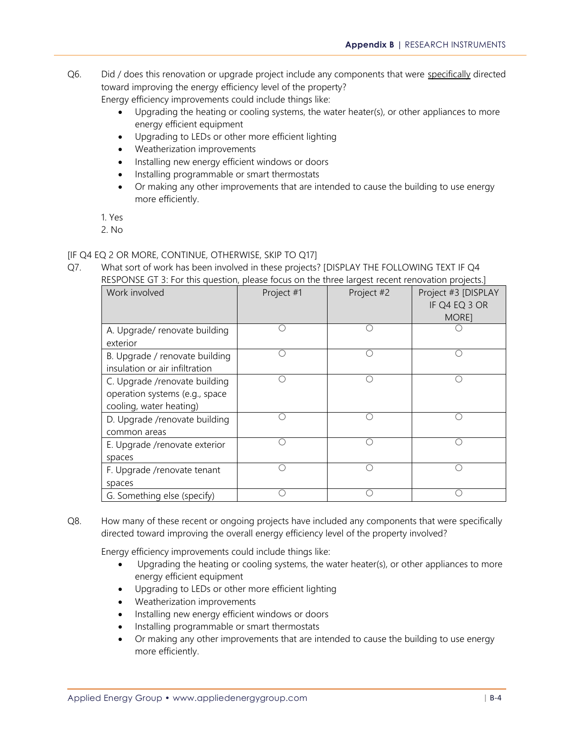- Q6. Did / does this renovation or upgrade project include any components that were specifically directed toward improving the energy efficiency level of the property? Energy efficiency improvements could include things like:
	- Upgrading the heating or cooling systems, the water heater(s), or other appliances to more energy efficient equipment
	- Upgrading to LEDs or other more efficient lighting
	- Weatherization improvements
	- Installing new energy efficient windows or doors
	- Installing programmable or smart thermostats
	- Or making any other improvements that are intended to cause the building to use energy more efficiently.

1. Yes

2. No

### [IF Q4 EQ 2 OR MORE, CONTINUE, OTHERWISE, SKIP TO Q17]

Q7. What sort of work has been involved in these projects? [DISPLAY THE FOLLOWING TEXT IF Q4 RESPONSE GT 3: For this question, please focus on the three largest recent renovation projects.]

| Work involved                  | Project #1 | Project #2 | Project #3 [DISPLAY |
|--------------------------------|------------|------------|---------------------|
|                                |            |            | IF Q4 EQ 3 OR       |
|                                |            |            | MORE]               |
| A. Upgrade/ renovate building  |            |            |                     |
| exterior                       |            |            |                     |
| B. Upgrade / renovate building |            |            | ∩                   |
| insulation or air infiltration |            |            |                     |
| C. Upgrade /renovate building  |            |            | (                   |
| operation systems (e.g., space |            |            |                     |
| cooling, water heating)        |            |            |                     |
| D. Upgrade /renovate building  |            |            |                     |
| common areas                   |            |            |                     |
| E. Upgrade /renovate exterior  |            |            | ⌒                   |
| spaces                         |            |            |                     |
| F. Upgrade /renovate tenant    |            |            |                     |
| spaces                         |            |            |                     |
| G. Something else (specify)    |            |            |                     |

Q8. How many of these recent or ongoing projects have included any components that were specifically directed toward improving the overall energy efficiency level of the property involved?

Energy efficiency improvements could include things like:

- Upgrading the heating or cooling systems, the water heater(s), or other appliances to more energy efficient equipment
- Upgrading to LEDs or other more efficient lighting
- Weatherization improvements
- Installing new energy efficient windows or doors
- Installing programmable or smart thermostats
- Or making any other improvements that are intended to cause the building to use energy more efficiently.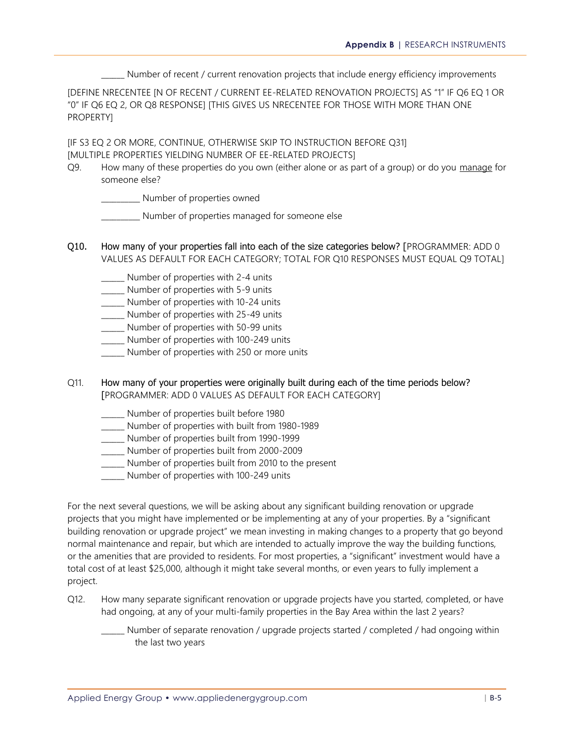Number of recent / current renovation projects that include energy efficiency improvements

[DEFINE NRECENTEE [N OF RECENT / CURRENT EE-RELATED RENOVATION PROJECTS] AS "1" IF Q6 EQ 1 OR "0" IF Q6 EQ 2, OR Q8 RESPONSE] [THIS GIVES US NRECENTEE FOR THOSE WITH MORE THAN ONE PROPERTY]

[IF S3 EQ 2 OR MORE, CONTINUE, OTHERWISE SKIP TO INSTRUCTION BEFORE Q31] [MULTIPLE PROPERTIES YIELDING NUMBER OF EE-RELATED PROJECTS]

Q9. How many of these properties do you own (either alone or as part of a group) or do you manage for someone else?

\_\_\_\_\_\_\_\_\_\_ Number of properties owned

- \_\_\_\_\_\_\_\_\_\_ Number of properties managed for someone else
- Q10. How many of your properties fall into each of the size categories below? [PROGRAMMER: ADD 0 VALUES AS DEFAULT FOR EACH CATEGORY; TOTAL FOR Q10 RESPONSES MUST EQUAL Q9 TOTAL]
	- \_\_\_\_\_\_ Number of properties with 2-4 units
	- \_\_\_\_\_\_ Number of properties with 5-9 units
	- \_\_\_\_\_\_ Number of properties with 10-24 units
	- \_\_\_\_\_\_ Number of properties with 25-49 units
	- \_\_\_\_\_\_ Number of properties with 50-99 units
	- \_\_\_\_\_\_ Number of properties with 100-249 units
	- Number of properties with 250 or more units
- Q11. How many of your properties were originally built during each of the time periods below? [PROGRAMMER: ADD 0 VALUES AS DEFAULT FOR EACH CATEGORY]
	- \_\_\_\_\_\_ Number of properties built before 1980
	- \_\_\_\_\_\_ Number of properties with built from 1980-1989

\_\_\_\_\_\_ Number of properties built from 1990-1999

- \_\_\_\_\_\_ Number of properties built from 2000-2009
- \_\_\_\_\_\_ Number of properties built from 2010 to the present
- \_\_\_\_\_\_ Number of properties with 100-249 units

For the next several questions, we will be asking about any significant building renovation or upgrade projects that you might have implemented or be implementing at any of your properties. By a "significant building renovation or upgrade project" we mean investing in making changes to a property that go beyond normal maintenance and repair, but which are intended to actually improve the way the building functions, or the amenities that are provided to residents. For most properties, a "significant" investment would have a total cost of at least \$25,000, although it might take several months, or even years to fully implement a project.

- Q12. How many separate significant renovation or upgrade projects have you started, completed, or have had ongoing, at any of your multi-family properties in the Bay Area within the last 2 years?
	- \_\_\_\_\_\_ Number of separate renovation / upgrade projects started / completed / had ongoing within the last two years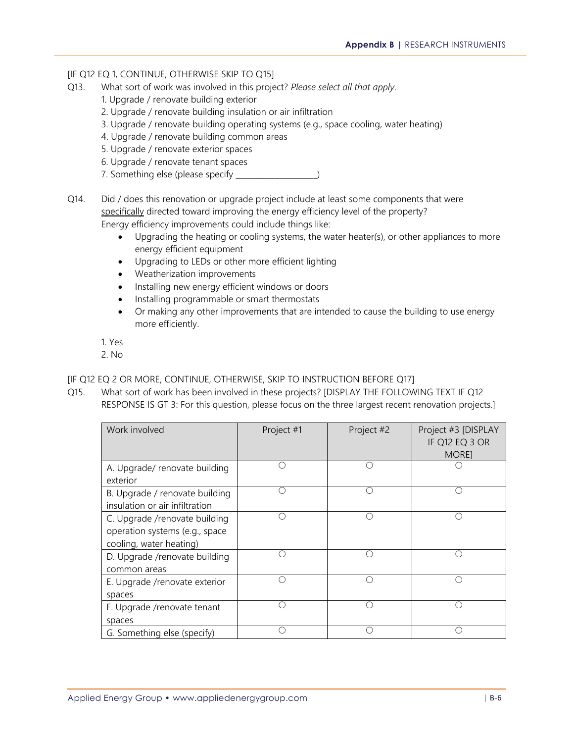#### [IF Q12 EQ 1, CONTINUE, OTHERWISE SKIP TO Q15]

- Q13. What sort of work was involved in this project? *Please select all that apply*.
	- 1. Upgrade / renovate building exterior
	- 2. Upgrade / renovate building insulation or air infiltration
	- 3. Upgrade / renovate building operating systems (e.g., space cooling, water heating)
	- 4. Upgrade / renovate building common areas
	- 5. Upgrade / renovate exterior spaces
	- 6. Upgrade / renovate tenant spaces
	- 7. Something else (please specify \_\_\_\_\_\_\_\_\_\_\_\_\_\_\_\_\_\_\_\_\_)
- Q14. Did / does this renovation or upgrade project include at least some components that were specifically directed toward improving the energy efficiency level of the property? Energy efficiency improvements could include things like:
	- Upgrading the heating or cooling systems, the water heater(s), or other appliances to more energy efficient equipment
	- Upgrading to LEDs or other more efficient lighting
	- Weatherization improvements
	- Installing new energy efficient windows or doors
	- Installing programmable or smart thermostats
	- Or making any other improvements that are intended to cause the building to use energy more efficiently.

1. Yes

2. No

#### [IF Q12 EQ 2 OR MORE, CONTINUE, OTHERWISE, SKIP TO INSTRUCTION BEFORE Q17]

Q15. What sort of work has been involved in these projects? [DISPLAY THE FOLLOWING TEXT IF Q12 RESPONSE IS GT 3: For this question, please focus on the three largest recent renovation projects.]

| Work involved                                                                              | Project #1 | Project #2 | Project #3 [DISPLAY<br>IF Q12 EQ 3 OR<br><b>MOREI</b> |
|--------------------------------------------------------------------------------------------|------------|------------|-------------------------------------------------------|
| A. Upgrade/ renovate building<br>exterior                                                  |            |            |                                                       |
| B. Upgrade / renovate building<br>insulation or air infiltration                           |            | ()         | Ω                                                     |
| C. Upgrade /renovate building<br>operation systems (e.g., space<br>cooling, water heating) |            |            | (                                                     |
| D. Upgrade /renovate building<br>common areas                                              |            |            |                                                       |
| E. Upgrade /renovate exterior<br>spaces                                                    |            | . .        | ( )                                                   |
| F. Upgrade /renovate tenant<br>spaces                                                      |            |            |                                                       |
| G. Something else (specify)                                                                |            |            |                                                       |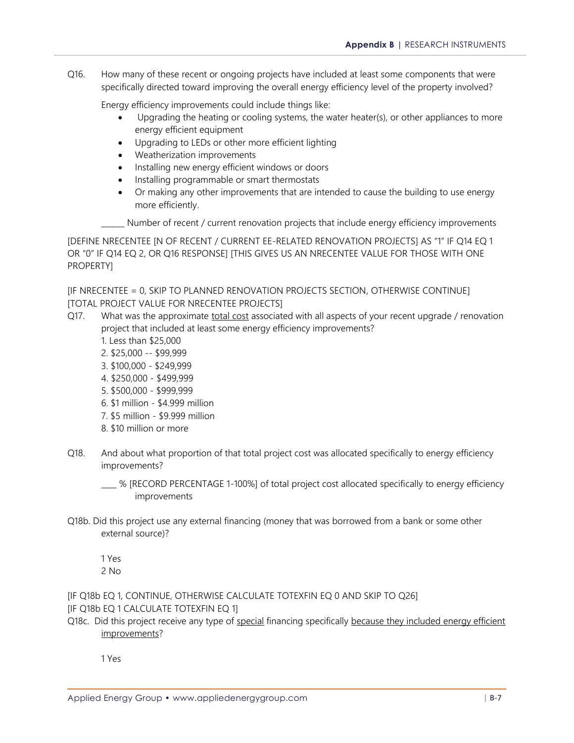**Appendix B |** RESEARCH INSTRUMENTS

Q16. How many of these recent or ongoing projects have included at least some components that were specifically directed toward improving the overall energy efficiency level of the property involved?

Energy efficiency improvements could include things like:

- Upgrading the heating or cooling systems, the water heater(s), or other appliances to more energy efficient equipment
- Upgrading to LEDs or other more efficient lighting
- Weatherization improvements
- Installing new energy efficient windows or doors
- Installing programmable or smart thermostats
- Or making any other improvements that are intended to cause the building to use energy more efficiently.

Number of recent / current renovation projects that include energy efficiency improvements

[DEFINE NRECENTEE [N OF RECENT / CURRENT EE-RELATED RENOVATION PROJECTS] AS "1" IF Q14 EQ 1 OR "0" IF Q14 EQ 2, OR Q16 RESPONSE] [THIS GIVES US AN NRECENTEE VALUE FOR THOSE WITH ONE PROPERTY]

[IF NRECENTEE = 0, SKIP TO PLANNED RENOVATION PROJECTS SECTION, OTHERWISE CONTINUE] [TOTAL PROJECT VALUE FOR NRECENTEE PROJECTS]

- Q17. What was the approximate total cost associated with all aspects of your recent upgrade / renovation project that included at least some energy efficiency improvements?
	- 1. Less than \$25,000
	- 2. \$25,000 -- \$99,999
	- 3. \$100,000 \$249,999
	- 4. \$250,000 \$499,999
	- 5. \$500,000 \$999,999
	- 6. \$1 million \$4.999 million
	- 7. \$5 million \$9.999 million
	- 8. \$10 million or more
- Q18. And about what proportion of that total project cost was allocated specifically to energy efficiency improvements?

\_\_\_\_ % [RECORD PERCENTAGE 1-100%] of total project cost allocated specifically to energy efficiency improvements

Q18b. Did this project use any external financing (money that was borrowed from a bank or some other external source)?

1 Yes 2 No

[IF Q18b EQ 1, CONTINUE, OTHERWISE CALCULATE TOTEXFIN EQ 0 AND SKIP TO Q26] [IF Q18b EQ 1 CALCULATE TOTEXFIN EQ 1]

Q18c. Did this project receive any type of special financing specifically because they included energy efficient improvements?

1 Yes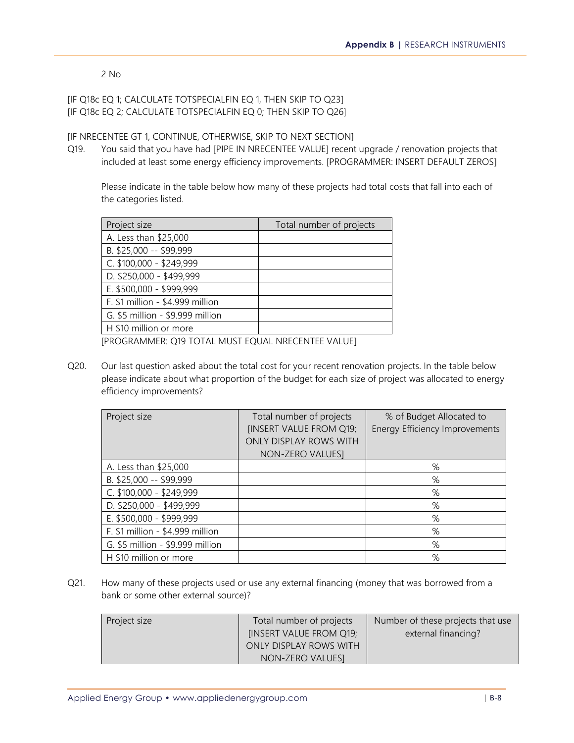2 No

### [IF Q18c EQ 1; CALCULATE TOTSPECIALFIN EQ 1, THEN SKIP TO Q23] [IF Q18c EQ 2; CALCULATE TOTSPECIALFIN EQ 0; THEN SKIP TO Q26]

### [IF NRECENTEE GT 1, CONTINUE, OTHERWISE, SKIP TO NEXT SECTION]

Q19. You said that you have had [PIPE IN NRECENTEE VALUE] recent upgrade / renovation projects that included at least some energy efficiency improvements. [PROGRAMMER: INSERT DEFAULT ZEROS]

Please indicate in the table below how many of these projects had total costs that fall into each of the categories listed.

| Project size                     | Total number of projects |
|----------------------------------|--------------------------|
| A. Less than \$25,000            |                          |
| B. \$25,000 -- \$99,999          |                          |
| C. \$100,000 - \$249,999         |                          |
| D. \$250,000 - \$499,999         |                          |
| E. \$500,000 - \$999,999         |                          |
| F. \$1 million - \$4.999 million |                          |
| G. \$5 million - \$9.999 million |                          |
| H \$10 million or more           |                          |

[PROGRAMMER: Q19 TOTAL MUST EQUAL NRECENTEE VALUE]

Q20. Our last question asked about the total cost for your recent renovation projects. In the table below please indicate about what proportion of the budget for each size of project was allocated to energy efficiency improvements?

| Project size                     | Total number of projects<br><b>IINSERT VALUE FROM Q19;</b><br><b>ONLY DISPLAY ROWS WITH</b><br>NON-ZERO VALUES] | % of Budget Allocated to<br><b>Energy Efficiency Improvements</b> |
|----------------------------------|-----------------------------------------------------------------------------------------------------------------|-------------------------------------------------------------------|
| A. Less than \$25,000            |                                                                                                                 | %                                                                 |
| B. \$25,000 -- \$99,999          |                                                                                                                 | %                                                                 |
| C. \$100,000 - \$249,999         |                                                                                                                 | %                                                                 |
| D. \$250,000 - \$499,999         |                                                                                                                 | %                                                                 |
| E. \$500,000 - \$999,999         |                                                                                                                 | %                                                                 |
| F. \$1 million - \$4.999 million |                                                                                                                 | %                                                                 |
| G. \$5 million - \$9.999 million |                                                                                                                 | %                                                                 |
| H \$10 million or more           |                                                                                                                 | %                                                                 |

Q21. How many of these projects used or use any external financing (money that was borrowed from a bank or some other external source)?

| Project size | Total number of projects | Number of these projects that use |
|--------------|--------------------------|-----------------------------------|
|              | [INSERT VALUE FROM Q19;  | external financing?               |
|              | ONLY DISPLAY ROWS WITH   |                                   |
|              | NON-ZERO VALUESI         |                                   |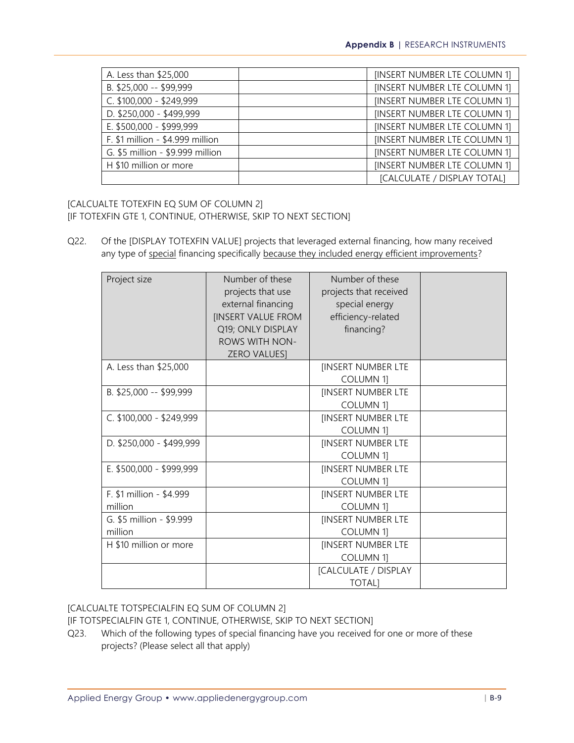| A. Less than \$25,000            | [INSERT NUMBER LTE COLUMN 1] |
|----------------------------------|------------------------------|
| B. \$25,000 -- \$99,999          | [INSERT NUMBER LTE COLUMN 1] |
| C. \$100,000 - \$249,999         | [INSERT NUMBER LTE COLUMN 1] |
| D. \$250,000 - \$499,999         | [INSERT NUMBER LTE COLUMN 1] |
| E. \$500,000 - \$999,999         | [INSERT NUMBER LTE COLUMN 1] |
| F. \$1 million - \$4.999 million | [INSERT NUMBER LTE COLUMN 1] |
| G. \$5 million - \$9.999 million | [INSERT NUMBER LTE COLUMN 1] |
| H \$10 million or more           | [INSERT NUMBER LTE COLUMN 1] |
|                                  | [CALCULATE / DISPLAY TOTAL]  |

[CALCUALTE TOTEXFIN EQ SUM OF COLUMN 2] [IF TOTEXFIN GTE 1, CONTINUE, OTHERWISE, SKIP TO NEXT SECTION]

Q22. Of the [DISPLAY TOTEXFIN VALUE] projects that leveraged external financing, how many received any type of special financing specifically because they included energy efficient improvements?

| Project size                        | Number of these<br>projects that use<br>external financing<br>[INSERT VALUE FROM<br>Q19; ONLY DISPLAY<br><b>ROWS WITH NON-</b><br><b>ZERO VALUESI</b> | Number of these<br>projects that received<br>special energy<br>efficiency-related<br>financing? |  |
|-------------------------------------|-------------------------------------------------------------------------------------------------------------------------------------------------------|-------------------------------------------------------------------------------------------------|--|
| A. Less than \$25,000               |                                                                                                                                                       | <b>IINSERT NUMBER LTE</b><br><b>COLUMN 11</b>                                                   |  |
| B. \$25,000 -- \$99,999             |                                                                                                                                                       | <b>IINSERT NUMBER LTE</b><br><b>COLUMN 11</b>                                                   |  |
| C. \$100,000 - \$249,999            |                                                                                                                                                       | <b>IINSERT NUMBER LTE</b><br><b>COLUMN 1]</b>                                                   |  |
| D. \$250,000 - \$499,999            |                                                                                                                                                       | <b>IINSERT NUMBER LTE</b><br><b>COLUMN 1]</b>                                                   |  |
| E. \$500,000 - \$999,999            |                                                                                                                                                       | <b>IINSERT NUMBER LTE</b><br><b>COLUMN 11</b>                                                   |  |
| F. \$1 million - \$4.999<br>million |                                                                                                                                                       | <b>IINSERT NUMBER LTE</b><br><b>COLUMN 1]</b>                                                   |  |
| G. \$5 million - \$9.999<br>million |                                                                                                                                                       | <b>IINSERT NUMBER LTE</b><br><b>COLUMN 11</b>                                                   |  |
| H \$10 million or more              |                                                                                                                                                       | <b>IINSERT NUMBER LTE</b><br><b>COLUMN 11</b>                                                   |  |
|                                     |                                                                                                                                                       | [CALCULATE / DISPLAY<br><b>TOTAL</b>                                                            |  |

[CALCUALTE TOTSPECIALFIN EQ SUM OF COLUMN 2]

[IF TOTSPECIALFIN GTE 1, CONTINUE, OTHERWISE, SKIP TO NEXT SECTION]

Q23. Which of the following types of special financing have you received for one or more of these projects? (Please select all that apply)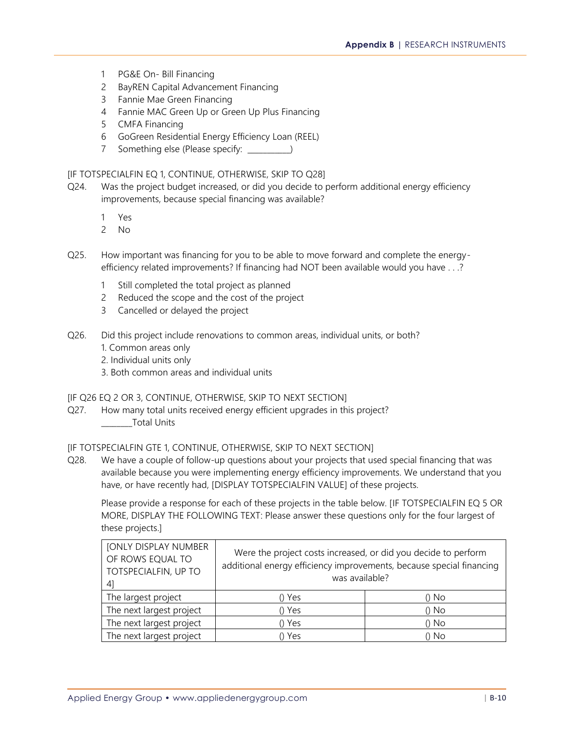- 1 PG&E On- Bill Financing
- 2 BayREN Capital Advancement Financing
- 3 Fannie Mae Green Financing
- 4 Fannie MAC Green Up or Green Up Plus Financing
- 5 CMFA Financing
- 6 GoGreen Residential Energy Efficiency Loan (REEL)
- 7 Something else (Please specify: \_\_\_\_\_\_\_\_\_\_\_)

#### [IF TOTSPECIALFIN EQ 1, CONTINUE, OTHERWISE, SKIP TO Q28]

- Q24. Was the project budget increased, or did you decide to perform additional energy efficiency improvements, because special financing was available?
	- 1 Yes
	- 2 No
- Q25. How important was financing for you to be able to move forward and complete the energyefficiency related improvements? If financing had NOT been available would you have . . .?
	- 1 Still completed the total project as planned
	- 2 Reduced the scope and the cost of the project
	- 3 Cancelled or delayed the project
- Q26. Did this project include renovations to common areas, individual units, or both?
	- 1. Common areas only
	- 2. Individual units only
	- 3. Both common areas and individual units

#### [IF Q26 EQ 2 OR 3, CONTINUE, OTHERWISE, SKIP TO NEXT SECTION]

Q27. How many total units received energy efficient upgrades in this project? \_\_\_\_\_\_\_\_Total Units

#### [IF TOTSPECIALFIN GTE 1, CONTINUE, OTHERWISE, SKIP TO NEXT SECTION]

Q28. We have a couple of follow-up questions about your projects that used special financing that was available because you were implementing energy efficiency improvements. We understand that you have, or have recently had, [DISPLAY TOTSPECIALFIN VALUE] of these projects.

Please provide a response for each of these projects in the table below. [IF TOTSPECIALFIN EQ 5 OR MORE, DISPLAY THE FOLLOWING TEXT: Please answer these questions only for the four largest of these projects.]

| <b>[ONLY DISPLAY NUMBER</b><br>OF ROWS EQUAL TO<br>TOTSPECIALFIN, UP TO<br> 4 | Were the project costs increased, or did you decide to perform<br>additional energy efficiency improvements, because special financing<br>was available? |         |
|-------------------------------------------------------------------------------|----------------------------------------------------------------------------------------------------------------------------------------------------------|---------|
| The largest project                                                           | () Yes                                                                                                                                                   | $()$ No |
| The next largest project                                                      | () Yes                                                                                                                                                   | $()$ No |
| The next largest project                                                      | () Yes                                                                                                                                                   | $()$ No |
| The next largest project                                                      | Yes                                                                                                                                                      | () No   |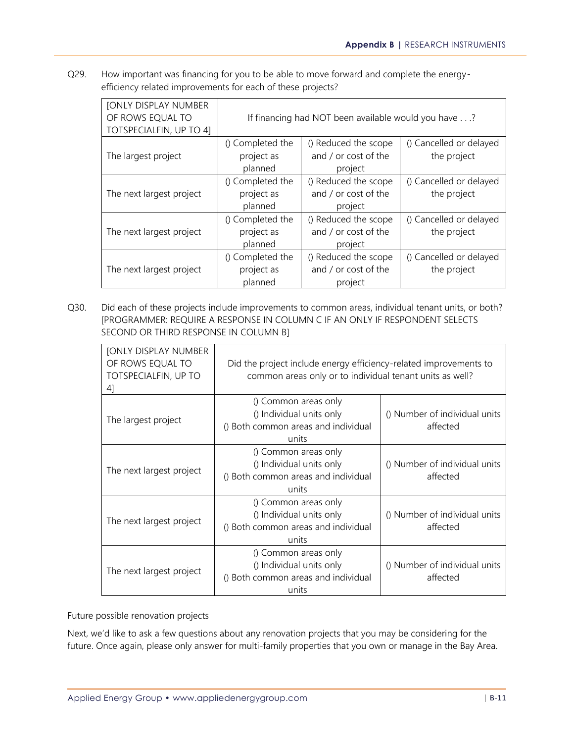Q29. How important was financing for you to be able to move forward and complete the energyefficiency related improvements for each of these projects?

| [ONLY DISPLAY NUMBER<br>OF ROWS EQUAL TO<br>TOTSPECIALFIN, UP TO 41 | If financing had NOT been available would you have? |                                                         |                                        |  |  |  |
|---------------------------------------------------------------------|-----------------------------------------------------|---------------------------------------------------------|----------------------------------------|--|--|--|
| The largest project                                                 | () Completed the<br>project as<br>planned           | () Cancelled or delayed<br>the project                  |                                        |  |  |  |
| The next largest project                                            | () Completed the<br>project as<br>planned           | () Reduced the scope<br>and / or cost of the<br>project | () Cancelled or delayed<br>the project |  |  |  |
| The next largest project                                            | () Completed the<br>project as<br>planned           | () Reduced the scope<br>and / or cost of the<br>project | () Cancelled or delayed<br>the project |  |  |  |
| The next largest project                                            | () Completed the<br>project as<br>planned           | () Reduced the scope<br>and / or cost of the<br>project | () Cancelled or delayed<br>the project |  |  |  |

Q30. Did each of these projects include improvements to common areas, individual tenant units, or both? [PROGRAMMER: REQUIRE A RESPONSE IN COLUMN C IF AN ONLY IF RESPONDENT SELECTS SECOND OR THIRD RESPONSE IN COLUMN B]

| <b>[ONLY DISPLAY NUMBER</b><br>OF ROWS EQUAL TO<br>TOTSPECIALFIN, UP TO<br>41 | Did the project include energy efficiency-related improvements to<br>common areas only or to individual tenant units as well? |                                           |  |  |
|-------------------------------------------------------------------------------|-------------------------------------------------------------------------------------------------------------------------------|-------------------------------------------|--|--|
| The largest project                                                           | () Common areas only<br>() Individual units only<br>() Both common areas and individual<br>units                              | () Number of individual units<br>affected |  |  |
| The next largest project                                                      | () Common areas only<br>() Individual units only<br>() Both common areas and individual<br>units                              | () Number of individual units<br>affected |  |  |
| The next largest project                                                      | () Common areas only<br>() Individual units only<br>() Both common areas and individual<br>units                              | () Number of individual units<br>affected |  |  |
| The next largest project                                                      | () Common areas only<br>() Individual units only<br>() Both common areas and individual<br>units                              | () Number of individual units<br>affected |  |  |

Future possible renovation projects

Next, we'd like to ask a few questions about any renovation projects that you may be considering for the future. Once again, please only answer for multi-family properties that you own or manage in the Bay Area.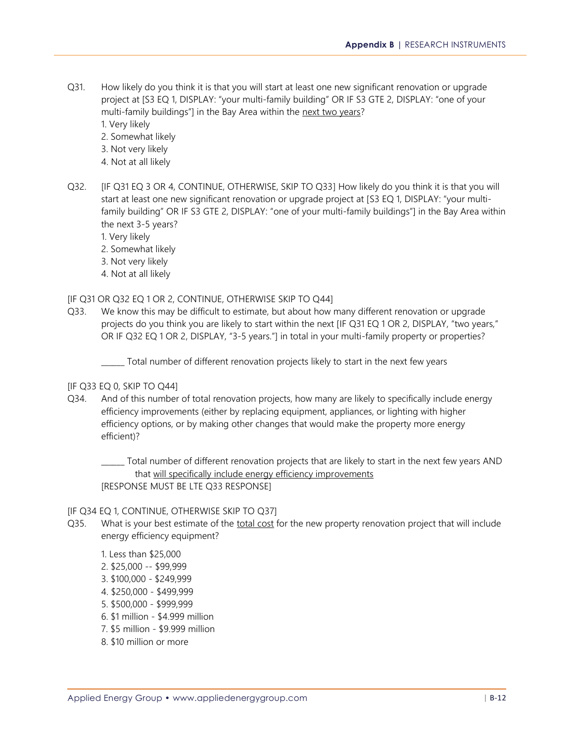- Q31. How likely do you think it is that you will start at least one new significant renovation or upgrade project at [S3 EQ 1, DISPLAY: "your multi-family building" OR IF S3 GTE 2, DISPLAY: "one of your multi-family buildings"] in the Bay Area within the next two years?
	- 1. Very likely
	- 2. Somewhat likely
	- 3. Not very likely
	- 4. Not at all likely
- Q32. [IF Q31 EQ 3 OR 4, CONTINUE, OTHERWISE, SKIP TO Q33] How likely do you think it is that you will start at least one new significant renovation or upgrade project at [S3 EQ 1, DISPLAY: "your multifamily building" OR IF S3 GTE 2, DISPLAY: "one of your multi-family buildings"] in the Bay Area within the next 3-5 years?
	- 1. Very likely
	- 2. Somewhat likely
	- 3. Not very likely
	- 4. Not at all likely

#### [IF Q31 OR Q32 EQ 1 OR 2, CONTINUE, OTHERWISE SKIP TO Q44]

Q33. We know this may be difficult to estimate, but about how many different renovation or upgrade projects do you think you are likely to start within the next [IF Q31 EQ 1 OR 2, DISPLAY, "two years," OR IF Q32 EQ 1 OR 2, DISPLAY, "3-5 years."] in total in your multi-family property or properties?

\_\_\_\_\_\_ Total number of different renovation projects likely to start in the next few years

#### [IF Q33 EQ 0, SKIP TO Q44]

Q34. And of this number of total renovation projects, how many are likely to specifically include energy efficiency improvements (either by replacing equipment, appliances, or lighting with higher efficiency options, or by making other changes that would make the property more energy efficient)?

\_\_\_\_\_\_ Total number of different renovation projects that are likely to start in the next few years AND that will specifically include energy efficiency improvements [RESPONSE MUST BE LTE Q33 RESPONSE]

#### [IF Q34 EQ 1, CONTINUE, OTHERWISE SKIP TO Q37]

- Q35. What is your best estimate of the total cost for the new property renovation project that will include energy efficiency equipment?
	- 1. Less than \$25,000
	- 2. \$25,000 -- \$99,999
	- 3. \$100,000 \$249,999
	- 4. \$250,000 \$499,999
	- 5. \$500,000 \$999,999
	- 6. \$1 million \$4.999 million
	- 7. \$5 million \$9.999 million
	- 8. \$10 million or more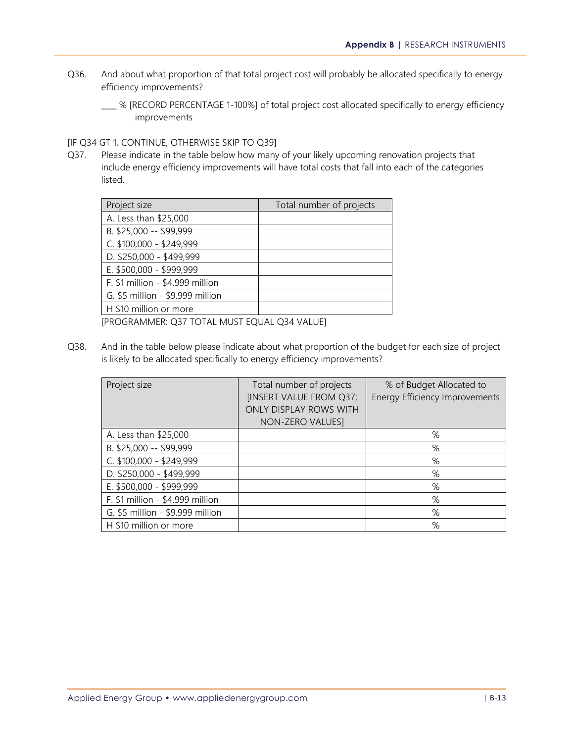- Q36. And about what proportion of that total project cost will probably be allocated specifically to energy efficiency improvements?
	- \_\_\_\_ % [RECORD PERCENTAGE 1-100%] of total project cost allocated specifically to energy efficiency improvements

#### [IF Q34 GT 1, CONTINUE, OTHERWISE SKIP TO Q39]

Q37. Please indicate in the table below how many of your likely upcoming renovation projects that include energy efficiency improvements will have total costs that fall into each of the categories listed.

| Project size                     | Total number of projects |
|----------------------------------|--------------------------|
| A. Less than \$25,000            |                          |
| B. \$25,000 -- \$99,999          |                          |
| C. \$100,000 - \$249,999         |                          |
| D. \$250,000 - \$499,999         |                          |
| E. \$500,000 - \$999,999         |                          |
| F. \$1 million - \$4.999 million |                          |
| G. \$5 million - \$9.999 million |                          |
| H \$10 million or more           |                          |

[PROGRAMMER: Q37 TOTAL MUST EQUAL Q34 VALUE]

Q38. And in the table below please indicate about what proportion of the budget for each size of project is likely to be allocated specifically to energy efficiency improvements?

| Project size                     | Total number of projects<br>[INSERT VALUE FROM Q37;<br>ONLY DISPLAY ROWS WITH<br>NON-ZERO VALUES] | % of Budget Allocated to<br><b>Energy Efficiency Improvements</b> |
|----------------------------------|---------------------------------------------------------------------------------------------------|-------------------------------------------------------------------|
| A. Less than \$25,000            |                                                                                                   | $\%$                                                              |
| B. \$25,000 -- \$99,999          |                                                                                                   | %                                                                 |
| C. \$100,000 - \$249,999         |                                                                                                   | %                                                                 |
| D. \$250,000 - \$499,999         |                                                                                                   | $\%$                                                              |
| E. \$500,000 - \$999,999         |                                                                                                   | %                                                                 |
| F. \$1 million - \$4.999 million |                                                                                                   | %                                                                 |
| G. \$5 million - \$9.999 million |                                                                                                   | %                                                                 |
| H \$10 million or more           |                                                                                                   | %                                                                 |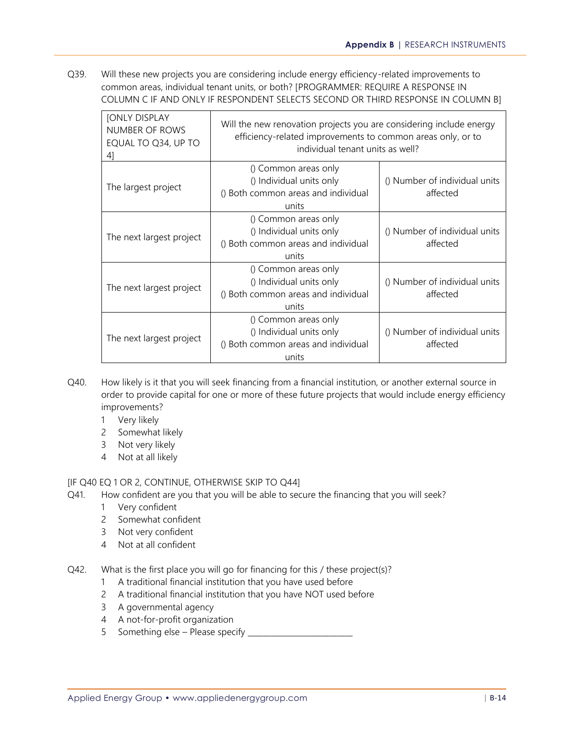Q39. Will these new projects you are considering include energy efficiency-related improvements to common areas, individual tenant units, or both? [PROGRAMMER: REQUIRE A RESPONSE IN COLUMN C IF AND ONLY IF RESPONDENT SELECTS SECOND OR THIRD RESPONSE IN COLUMN B]

| <b>[ONLY DISPLAY</b><br>NUMBER OF ROWS<br>EQUAL TO Q34, UP TO<br>41 | Will the new renovation projects you are considering include energy<br>efficiency-related improvements to common areas only, or to<br>individual tenant units as well? |                                           |  |  |  |
|---------------------------------------------------------------------|------------------------------------------------------------------------------------------------------------------------------------------------------------------------|-------------------------------------------|--|--|--|
| The largest project                                                 | () Common areas only<br>() Individual units only<br>() Both common areas and individual<br>units                                                                       | () Number of individual units<br>affected |  |  |  |
| The next largest project                                            | () Common areas only<br>() Individual units only<br>() Both common areas and individual<br>units                                                                       | () Number of individual units<br>affected |  |  |  |
| The next largest project                                            | () Common areas only<br>() Individual units only<br>() Both common areas and individual<br>units                                                                       | () Number of individual units<br>affected |  |  |  |
| The next largest project                                            | () Common areas only<br>() Individual units only<br>() Both common areas and individual<br>units                                                                       | () Number of individual units<br>affected |  |  |  |

- Q40. How likely is it that you will seek financing from a financial institution, or another external source in order to provide capital for one or more of these future projects that would include energy efficiency improvements?
	- 1 Very likely
	- 2 Somewhat likely
	- 3 Not very likely
	- 4 Not at all likely

#### [IF Q40 EQ 1 OR 2, CONTINUE, OTHERWISE SKIP TO Q44]

- Q41. How confident are you that you will be able to secure the financing that you will seek?
	- 1 Very confident
	- 2 Somewhat confident
	- 3 Not very confident
	- 4 Not at all confident
- Q42. What is the first place you will go for financing for this / these project(s)?
	- 1 A traditional financial institution that you have used before
	- 2 A traditional financial institution that you have NOT used before
	- 3 A governmental agency
	- 4 A not-for-profit organization
	- 5 Something else Please specify \_\_\_\_\_\_\_\_\_\_\_\_\_\_\_\_\_\_\_\_\_\_\_\_\_\_\_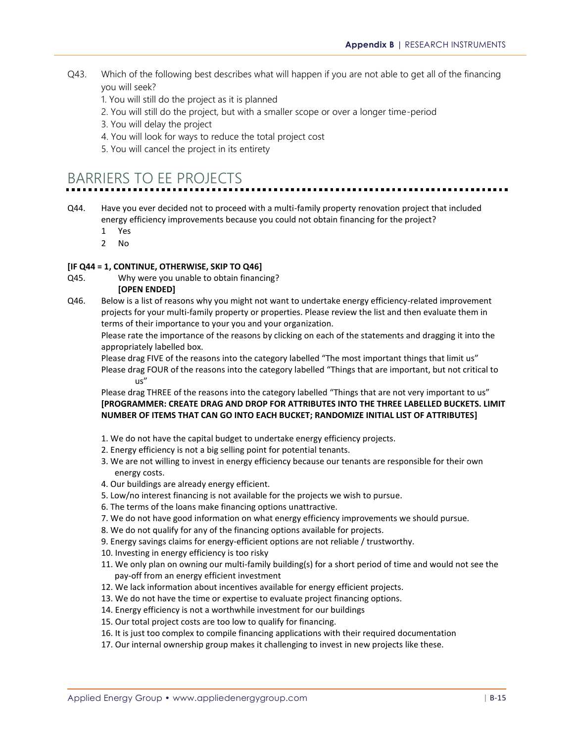- Q43. Which of the following best describes what will happen if you are not able to get all of the financing you will seek?
	- 1. You will still do the project as it is planned
	- 2. You will still do the project, but with a smaller scope or over a longer time-period
	- 3. You will delay the project
	- 4. You will look for ways to reduce the total project cost
	- 5. You will cancel the project in its entirety

# BARRIERS TO EE PROJECTS

- Q44. Have you ever decided not to proceed with a multi-family property renovation project that included energy efficiency improvements because you could not obtain financing for the project?
	- 1 Yes
	- 2 No

#### **[IF Q44 = 1, CONTINUE, OTHERWISE, SKIP TO Q46]**

Q45. Why were you unable to obtain financing?

#### **[OPEN ENDED]**

Q46. Below is a list of reasons why you might not want to undertake energy efficiency-related improvement projects for your multi-family property or properties. Please review the list and then evaluate them in terms of their importance to your you and your organization.

Please rate the importance of the reasons by clicking on each of the statements and dragging it into the appropriately labelled box.

Please drag FIVE of the reasons into the category labelled "The most important things that limit us" Please drag FOUR of the reasons into the category labelled "Things that are important, but not critical to us"

Please drag THREE of the reasons into the category labelled "Things that are not very important to us" **[PROGRAMMER: CREATE DRAG AND DROP FOR ATTRIBUTES INTO THE THREE LABELLED BUCKETS. LIMIT NUMBER OF ITEMS THAT CAN GO INTO EACH BUCKET; RANDOMIZE INITIAL LIST OF ATTRIBUTES]**

- 1. We do not have the capital budget to undertake energy efficiency projects.
- 2. Energy efficiency is not a big selling point for potential tenants.
- 3. We are not willing to invest in energy efficiency because our tenants are responsible for their own energy costs.
- 4. Our buildings are already energy efficient.
- 5. Low/no interest financing is not available for the projects we wish to pursue.
- 6. The terms of the loans make financing options unattractive.
- 7. We do not have good information on what energy efficiency improvements we should pursue.
- 8. We do not qualify for any of the financing options available for projects.
- 9. Energy savings claims for energy-efficient options are not reliable / trustworthy.
- 10. Investing in energy efficiency is too risky
- 11. We only plan on owning our multi-family building(s) for a short period of time and would not see the pay-off from an energy efficient investment
- 12. We lack information about incentives available for energy efficient projects.
- 13. We do not have the time or expertise to evaluate project financing options.
- 14. Energy efficiency is not a worthwhile investment for our buildings
- 15. Our total project costs are too low to qualify for financing.
- 16. It is just too complex to compile financing applications with their required documentation
- 17. Our internal ownership group makes it challenging to invest in new projects like these.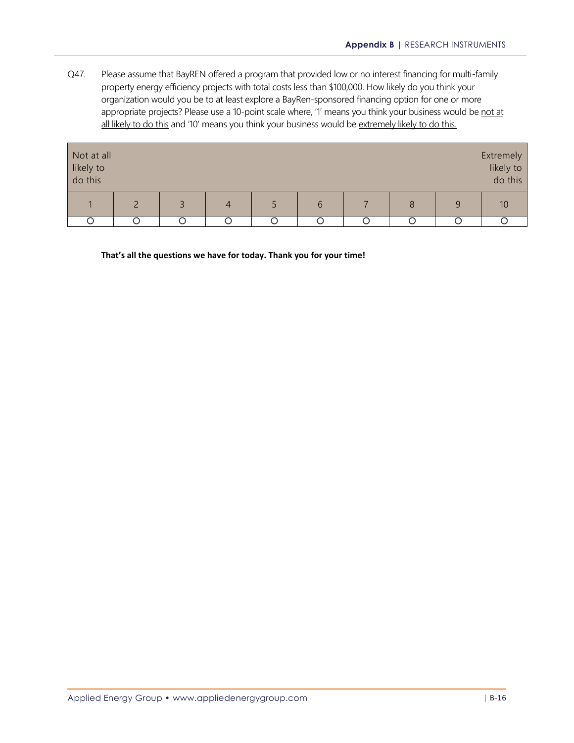Q47. Please assume that BayREN offered a program that provided low or no interest financing for multi-family property energy efficiency projects with total costs less than \$100,000. How likely do you think your organization would you be to at least explore a BayRen-sponsored financing option for one or more appropriate projects? Please use a 10-point scale where, '1' means you think your business would be not at all likely to do this and '10' means you think your business would be extremely likely to do this.

| Not at all<br>likely to<br>do this |   |  |               |   |   | Extremely<br>likely to<br>do this |
|------------------------------------|---|--|---------------|---|---|-----------------------------------|
|                                    | ₹ |  | $\mathfrak b$ | 8 | 9 |                                   |
|                                    |   |  |               |   |   |                                   |

**That's all the questions we have for today. Thank you for your time!**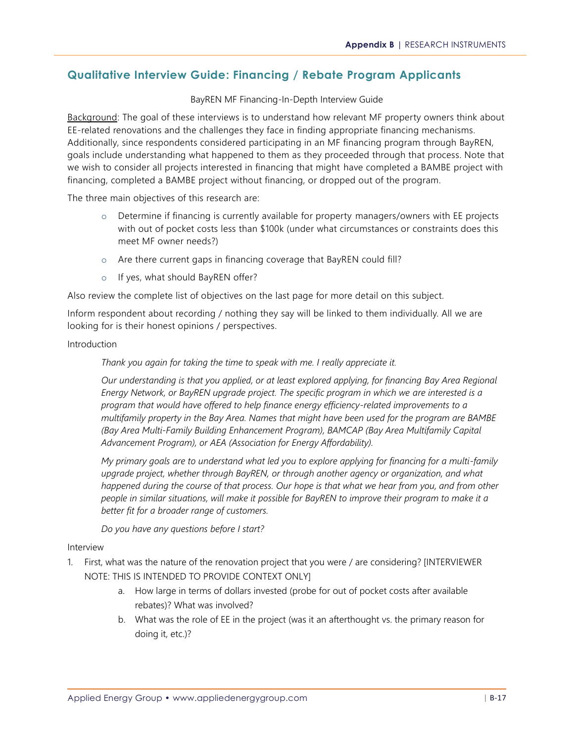## **Qualitative Interview Guide: Financing / Rebate Program Applicants**

#### BayREN MF Financing-In-Depth Interview Guide

Background: The goal of these interviews is to understand how relevant MF property owners think about EE-related renovations and the challenges they face in finding appropriate financing mechanisms. Additionally, since respondents considered participating in an MF financing program through BayREN, goals include understanding what happened to them as they proceeded through that process. Note that we wish to consider all projects interested in financing that might have completed a BAMBE project with financing, completed a BAMBE project without financing, or dropped out of the program.

The three main objectives of this research are:

- o Determine if financing is currently available for property managers/owners with EE projects with out of pocket costs less than \$100k (under what circumstances or constraints does this meet MF owner needs?)
- o Are there current gaps in financing coverage that BayREN could fill?
- o If yes, what should BayREN offer?

Also review the complete list of objectives on the last page for more detail on this subject.

Inform respondent about recording / nothing they say will be linked to them individually. All we are looking for is their honest opinions / perspectives.

#### Introduction

*Thank you again for taking the time to speak with me. I really appreciate it.*

*Our understanding is that you applied, or at least explored applying, for financing Bay Area Regional Energy Network, or BayREN upgrade project. The specific program in which we are interested is a program that would have offered to help finance energy efficiency-related improvements to a multifamily property in the Bay Area. Names that might have been used for the program are BAMBE (Bay Area Multi-Family Building Enhancement Program), BAMCAP (Bay Area Multifamily Capital Advancement Program), or AEA (Association for Energy Affordability).* 

*My primary goals are to understand what led you to explore applying for financing for a multi-family upgrade project, whether through BayREN, or through another agency or organization, and what happened during the course of that process. Our hope is that what we hear from you, and from other people in similar situations, will make it possible for BayREN to improve their program to make it a better fit for a broader range of customers.* 

*Do you have any questions before I start?*

#### Interview

- 1. First, what was the nature of the renovation project that you were / are considering? [INTERVIEWER NOTE: THIS IS INTENDED TO PROVIDE CONTEXT ONLY]
	- a. How large in terms of dollars invested (probe for out of pocket costs after available rebates)? What was involved?
	- b. What was the role of EE in the project (was it an afterthought vs. the primary reason for doing it, etc.)?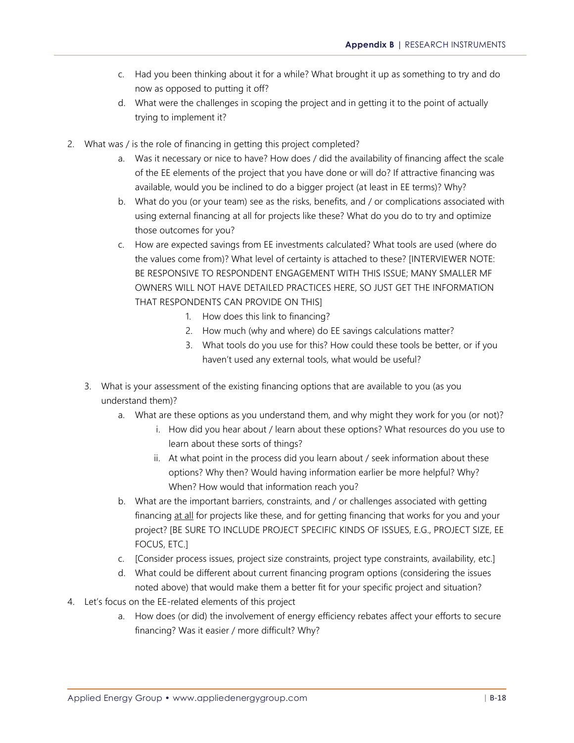- c. Had you been thinking about it for a while? What brought it up as something to try and do now as opposed to putting it off?
- d. What were the challenges in scoping the project and in getting it to the point of actually trying to implement it?
- 2. What was / is the role of financing in getting this project completed?
	- a. Was it necessary or nice to have? How does / did the availability of financing affect the scale of the EE elements of the project that you have done or will do? If attractive financing was available, would you be inclined to do a bigger project (at least in EE terms)? Why?
	- b. What do you (or your team) see as the risks, benefits, and / or complications associated with using external financing at all for projects like these? What do you do to try and optimize those outcomes for you?
	- c. How are expected savings from EE investments calculated? What tools are used (where do the values come from)? What level of certainty is attached to these? [INTERVIEWER NOTE: BE RESPONSIVE TO RESPONDENT ENGAGEMENT WITH THIS ISSUE; MANY SMALLER MF OWNERS WILL NOT HAVE DETAILED PRACTICES HERE, SO JUST GET THE INFORMATION THAT RESPONDENTS CAN PROVIDE ON THIS]
		- 1. How does this link to financing?
		- 2. How much (why and where) do EE savings calculations matter?
		- 3. What tools do you use for this? How could these tools be better, or if you haven't used any external tools, what would be useful?
	- 3. What is your assessment of the existing financing options that are available to you (as you understand them)?
		- a. What are these options as you understand them, and why might they work for you (or not)?
			- i. How did you hear about / learn about these options? What resources do you use to learn about these sorts of things?
			- ii. At what point in the process did you learn about / seek information about these options? Why then? Would having information earlier be more helpful? Why? When? How would that information reach you?
		- b. What are the important barriers, constraints, and / or challenges associated with getting financing at all for projects like these, and for getting financing that works for you and your project? [BE SURE TO INCLUDE PROJECT SPECIFIC KINDS OF ISSUES, E.G., PROJECT SIZE, EE FOCUS, ETC.]
		- c. [Consider process issues, project size constraints, project type constraints, availability, etc.]
		- d. What could be different about current financing program options (considering the issues noted above) that would make them a better fit for your specific project and situation?
- 4. Let's focus on the EE-related elements of this project
	- a. How does (or did) the involvement of energy efficiency rebates affect your efforts to secure financing? Was it easier / more difficult? Why?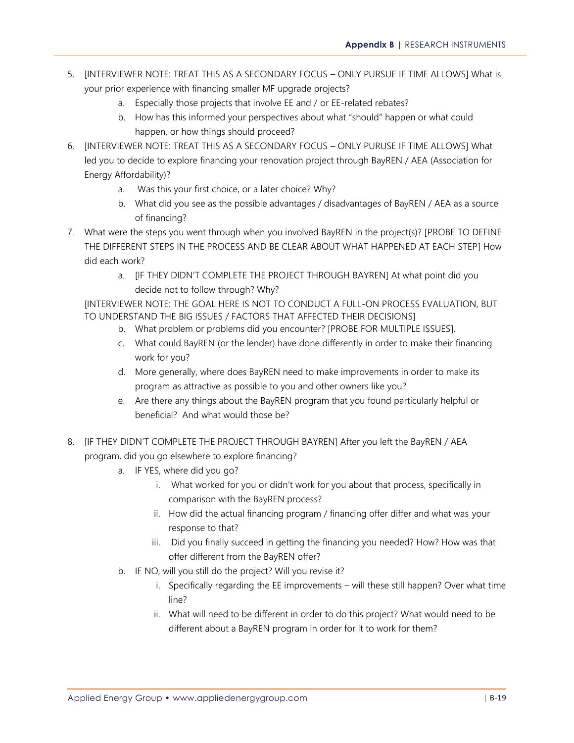- 5. [INTERVIEWER NOTE: TREAT THIS AS A SECONDARY FOCUS ONLY PURSUE IF TIME ALLOWS] What is your prior experience with financing smaller MF upgrade projects?
	- a. Especially those projects that involve EE and / or EE-related rebates?
	- b. How has this informed your perspectives about what "should" happen or what could happen, or how things should proceed?
- 6. [INTERVIEWER NOTE: TREAT THIS AS A SECONDARY FOCUS ONLY PURUSE IF TIME ALLOWS] What led you to decide to explore financing your renovation project through BayREN / AEA (Association for Energy Affordability)?
	- a. Was this your first choice, or a later choice? Why?
	- b. What did you see as the possible advantages / disadvantages of BayREN / AEA as a source of financing?
- 7. What were the steps you went through when you involved BayREN in the project(s)? [PROBE TO DEFINE THE DIFFERENT STEPS IN THE PROCESS AND BE CLEAR ABOUT WHAT HAPPENED AT EACH STEP] How did each work?
	- a. [IF THEY DIDN'T COMPLETE THE PROJECT THROUGH BAYREN] At what point did you decide not to follow through? Why?

[INTERVIEWER NOTE: THE GOAL HERE IS NOT TO CONDUCT A FULL-ON PROCESS EVALUATION, BUT TO UNDERSTAND THE BIG ISSUES / FACTORS THAT AFFECTED THEIR DECISIONS]

- b. What problem or problems did you encounter? [PROBE FOR MULTIPLE ISSUES].
- c. What could BayREN (or the lender) have done differently in order to make their financing work for you?
- d. More generally, where does BayREN need to make improvements in order to make its program as attractive as possible to you and other owners like you?
- e. Are there any things about the BayREN program that you found particularly helpful or beneficial? And what would those be?
- 8. [IF THEY DIDN'T COMPLETE THE PROJECT THROUGH BAYREN] After you left the BayREN / AEA program, did you go elsewhere to explore financing?
	- a. IF YES, where did you go?
		- i. What worked for you or didn't work for you about that process, specifically in comparison with the BayREN process?
		- ii. How did the actual financing program / financing offer differ and what was your response to that?
		- iii. Did you finally succeed in getting the financing you needed? How? How was that offer different from the BayREN offer?
	- b. IF NO, will you still do the project? Will you revise it?
		- i. Specifically regarding the EE improvements will these still happen? Over what time line?
		- ii. What will need to be different in order to do this project? What would need to be different about a BayREN program in order for it to work for them?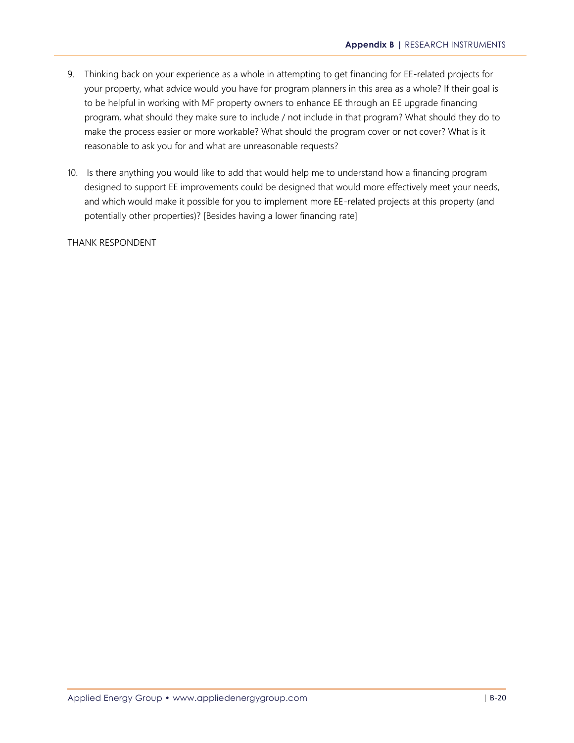- 9. Thinking back on your experience as a whole in attempting to get financing for EE-related projects for your property, what advice would you have for program planners in this area as a whole? If their goal is to be helpful in working with MF property owners to enhance EE through an EE upgrade financing program, what should they make sure to include / not include in that program? What should they do to make the process easier or more workable? What should the program cover or not cover? What is it reasonable to ask you for and what are unreasonable requests?
- 10. Is there anything you would like to add that would help me to understand how a financing program designed to support EE improvements could be designed that would more effectively meet your needs, and which would make it possible for you to implement more EE-related projects at this property (and potentially other properties)? [Besides having a lower financing rate]

THANK RESPONDENT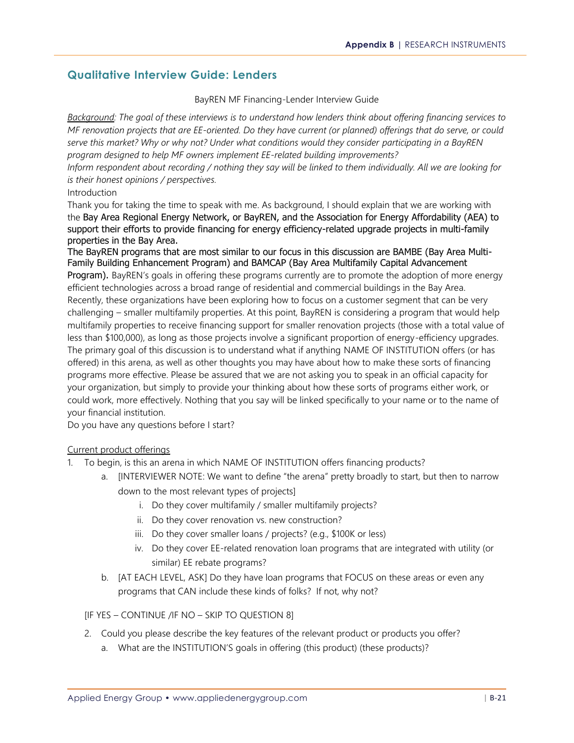## **Qualitative Interview Guide: Lenders**

#### BayREN MF Financing-Lender Interview Guide

*Background: The goal of these interviews is to understand how lenders think about offering financing services to MF renovation projects that are EE-oriented. Do they have current (or planned) offerings that do serve, or could serve this market? Why or why not? Under what conditions would they consider participating in a BayREN program designed to help MF owners implement EE-related building improvements?*

*Inform respondent about recording / nothing they say will be linked to them individually. All we are looking for is their honest opinions / perspectives.*

#### Introduction

Thank you for taking the time to speak with me. As background, I should explain that we are working with the Bay Area Regional Energy Network, or BayREN, and the Association for Energy Affordability (AEA) to support their efforts to provide financing for energy efficiency-related upgrade projects in multi-family properties in the Bay Area.

The BayREN programs that are most similar to our focus in this discussion are BAMBE (Bay Area Multi-Family Building Enhancement Program) and BAMCAP (Bay Area Multifamily Capital Advancement Program). BayREN's goals in offering these programs currently are to promote the adoption of more energy efficient technologies across a broad range of residential and commercial buildings in the Bay Area. Recently, these organizations have been exploring how to focus on a customer segment that can be very challenging – smaller multifamily properties. At this point, BayREN is considering a program that would help multifamily properties to receive financing support for smaller renovation projects (those with a total value of less than \$100,000), as long as those projects involve a significant proportion of energy-efficiency upgrades. The primary goal of this discussion is to understand what if anything NAME OF INSTITUTION offers (or has offered) in this arena, as well as other thoughts you may have about how to make these sorts of financing programs more effective. Please be assured that we are not asking you to speak in an official capacity for your organization, but simply to provide your thinking about how these sorts of programs either work, or could work, more effectively. Nothing that you say will be linked specifically to your name or to the name of your financial institution.

Do you have any questions before I start?

#### Current product offerings

- 1. To begin, is this an arena in which NAME OF INSTITUTION offers financing products?
	- a. [INTERVIEWER NOTE: We want to define "the arena" pretty broadly to start, but then to narrow down to the most relevant types of projects]
		- i. Do they cover multifamily / smaller multifamily projects?
		- ii. Do they cover renovation vs. new construction?
		- iii. Do they cover smaller loans / projects? (e.g., \$100K or less)
		- iv. Do they cover EE-related renovation loan programs that are integrated with utility (or similar) EE rebate programs?
	- b. [AT EACH LEVEL, ASK] Do they have loan programs that FOCUS on these areas or even any programs that CAN include these kinds of folks? If not, why not?

[IF YES – CONTINUE /IF NO – SKIP TO QUESTION 8]

- 2. Could you please describe the key features of the relevant product or products you offer?
	- a. What are the INSTITUTION'S goals in offering (this product) (these products)?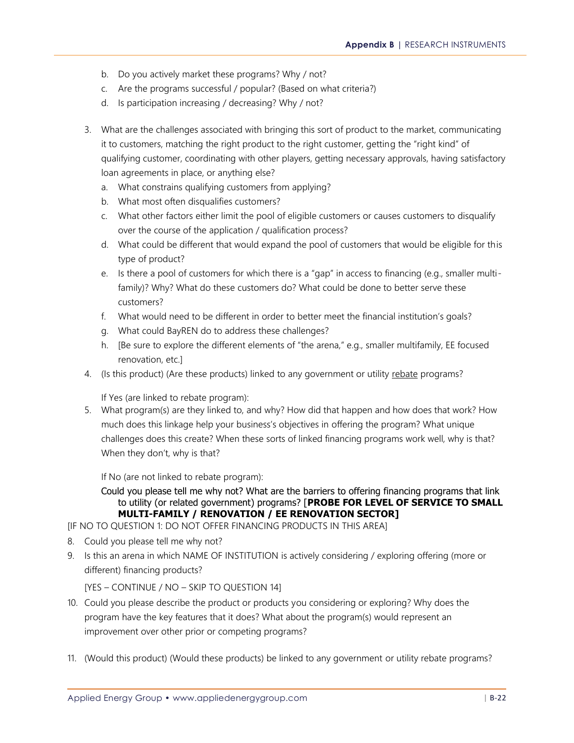- b. Do you actively market these programs? Why / not?
- c. Are the programs successful / popular? (Based on what criteria?)
- d. Is participation increasing / decreasing? Why / not?
- 3. What are the challenges associated with bringing this sort of product to the market, communicating it to customers, matching the right product to the right customer, getting the "right kind" of qualifying customer, coordinating with other players, getting necessary approvals, having satisfactory loan agreements in place, or anything else?
	- a. What constrains qualifying customers from applying?
	- b. What most often disqualifies customers?
	- c. What other factors either limit the pool of eligible customers or causes customers to disqualify over the course of the application / qualification process?
	- d. What could be different that would expand the pool of customers that would be eligible for this type of product?
	- e. Is there a pool of customers for which there is a "gap" in access to financing (e.g., smaller multifamily)? Why? What do these customers do? What could be done to better serve these customers?
	- f. What would need to be different in order to better meet the financial institution's goals?
	- g. What could BayREN do to address these challenges?
	- h. [Be sure to explore the different elements of "the arena," e.g., smaller multifamily, EE focused renovation, etc.]
- 4. (Is this product) (Are these products) linked to any government or utility rebate programs?

If Yes (are linked to rebate program):

5. What program(s) are they linked to, and why? How did that happen and how does that work? How much does this linkage help your business's objectives in offering the program? What unique challenges does this create? When these sorts of linked financing programs work well, why is that? When they don't, why is that?

If No (are not linked to rebate program):

Could you please tell me why not? What are the barriers to offering financing programs that link to utility (or related government) programs? [**PROBE FOR LEVEL OF SERVICE TO SMALL MULTI-FAMILY / RENOVATION / EE RENOVATION SECTOR]**

[IF NO TO QUESTION 1: DO NOT OFFER FINANCING PRODUCTS IN THIS AREA]

- 8. Could you please tell me why not?
- 9. Is this an arena in which NAME OF INSTITUTION is actively considering / exploring offering (more or different) financing products?

[YES – CONTINUE / NO – SKIP TO QUESTION 14]

- 10. Could you please describe the product or products you considering or exploring? Why does the program have the key features that it does? What about the program(s) would represent an improvement over other prior or competing programs?
- 11. (Would this product) (Would these products) be linked to any government or utility rebate programs?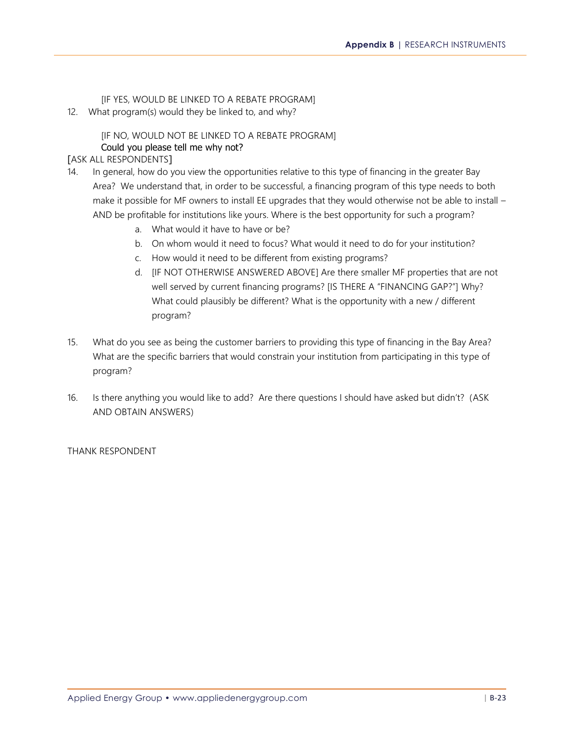[IF YES, WOULD BE LINKED TO A REBATE PROGRAM]

12. What program(s) would they be linked to, and why?

### [IF NO, WOULD NOT BE LINKED TO A REBATE PROGRAM] Could you please tell me why not?

### [ASK ALL RESPONDENTS]

- 14. In general, how do you view the opportunities relative to this type of financing in the greater Bay Area? We understand that, in order to be successful, a financing program of this type needs to both make it possible for MF owners to install EE upgrades that they would otherwise not be able to install -AND be profitable for institutions like yours. Where is the best opportunity for such a program?
	- a. What would it have to have or be?
	- b. On whom would it need to focus? What would it need to do for your institution?
	- c. How would it need to be different from existing programs?
	- d. [IF NOT OTHERWISE ANSWERED ABOVE] Are there smaller MF properties that are not well served by current financing programs? [IS THERE A "FINANCING GAP?"] Why? What could plausibly be different? What is the opportunity with a new / different program?
- 15. What do you see as being the customer barriers to providing this type of financing in the Bay Area? What are the specific barriers that would constrain your institution from participating in this type of program?
- 16. Is there anything you would like to add? Are there questions I should have asked but didn't? (ASK AND OBTAIN ANSWERS)

#### THANK RESPONDENT